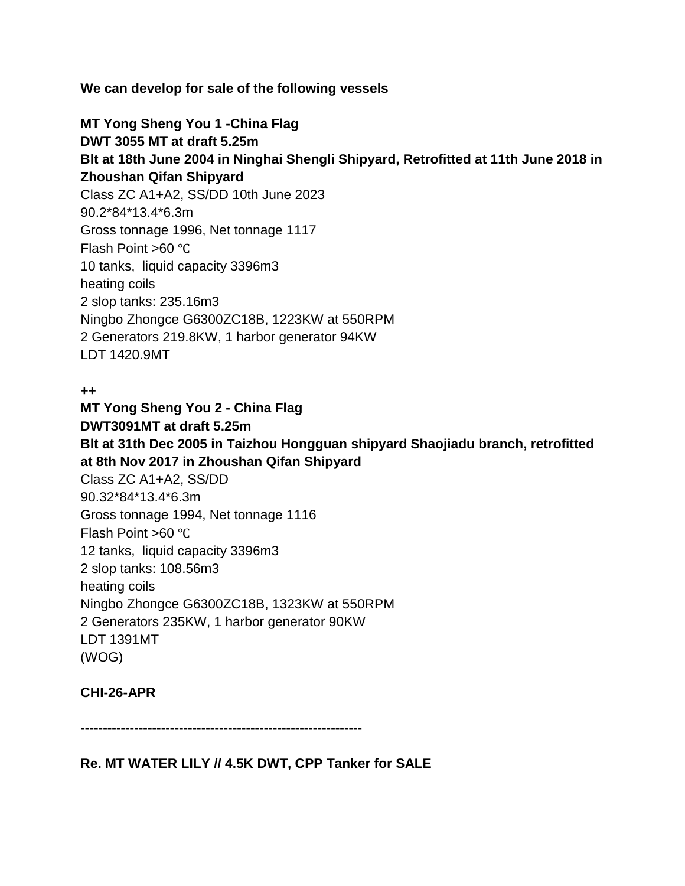**We can develop for sale of the following vessels**

**MT Yong Sheng You 1 -China Flag DWT 3055 MT at draft 5.25m Blt at 18th June 2004 in Ninghai Shengli Shipyard, Retrofitted at 11th June 2018 in Zhoushan Qifan Shipyard** Class ZC A1+A2, SS/DD 10th June 2023 90.2\*84\*13.4\*6.3m Gross tonnage 1996, Net tonnage 1117 Flash Point >60 ℃ 10 tanks, liquid capacity 3396m3 heating coils 2 slop tanks: 235.16m3 Ningbo Zhongce G6300ZC18B, 1223KW at 550RPM 2 Generators 219.8KW, 1 harbor generator 94KW LDT 1420.9MT

#### **++**

**MT Yong Sheng You 2 - China Flag DWT3091MT at draft 5.25m Blt at 31th Dec 2005 in Taizhou Hongguan shipyard Shaojiadu branch, retrofitted at 8th Nov 2017 in Zhoushan Qifan Shipyard** Class ZC A1+A2, SS/DD 90.32\*84\*13.4\*6.3m Gross tonnage 1994, Net tonnage 1116 Flash Point >60 ℃ 12 tanks, liquid capacity 3396m3 2 slop tanks: 108.56m3 heating coils Ningbo Zhongce G6300ZC18B, 1323KW at 550RPM 2 Generators 235KW, 1 harbor generator 90KW LDT 1391MT (WOG)

# **CHI-26-APR**

**---------------------------------------------------------------**

**Re. MT WATER LILY // 4.5K DWT, CPP Tanker for SALE**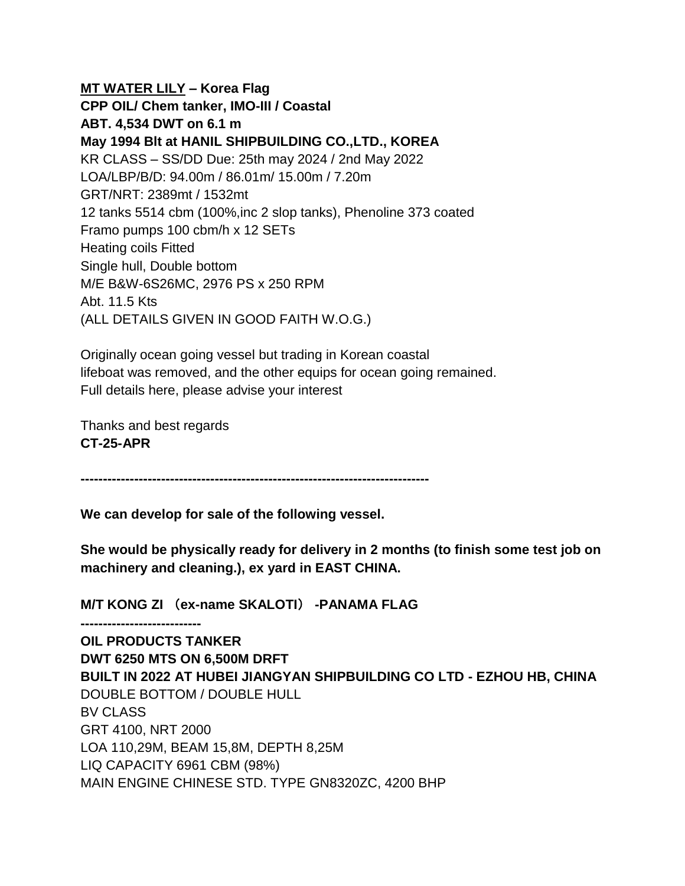**MT WATER LILY – Korea Flag CPP OIL/ Chem tanker, IMO-III / Coastal ABT. 4,534 DWT on 6.1 m May 1994 Blt at HANIL SHIPBUILDING CO.,LTD., KOREA** KR CLASS – SS/DD Due: 25th may 2024 / 2nd May 2022 LOA/LBP/B/D: 94.00m / 86.01m/ 15.00m / 7.20m GRT/NRT: 2389mt / 1532mt 12 tanks 5514 cbm (100%,inc 2 slop tanks), Phenoline 373 coated Framo pumps 100 cbm/h x 12 SETs Heating coils Fitted Single hull, Double bottom M/E B&W-6S26MC, 2976 PS x 250 RPM Abt. 11.5 Kts (ALL DETAILS GIVEN IN GOOD FAITH W.O.G.)

Originally ocean going vessel but trading in Korean coastal lifeboat was removed, and the other equips for ocean going remained. Full details here, please advise your interest

Thanks and best regards **CT-25-APR**

**---------------------------**

**------------------------------------------------------------------------------**

**We can develop for sale of the following vessel.**

**She would be physically ready for delivery in 2 months (to finish some test job on machinery and cleaning.), ex yard in EAST CHINA.**

**M/T KONG ZI** (**ex-name SKALOTI**) **-PANAMA FLAG**

**OIL PRODUCTS TANKER DWT 6250 MTS ON 6,500M DRFT BUILT IN 2022 AT HUBEI JIANGYAN SHIPBUILDING CO LTD - EZHOU HB, CHINA** DOUBLE BOTTOM / DOUBLE HULL BV CLASS GRT 4100, NRT 2000 LOA 110,29M, BEAM 15,8M, DEPTH 8,25M LIQ CAPACITY 6961 CBM (98%) MAIN ENGINE CHINESE STD. TYPE GN8320ZC, 4200 BHP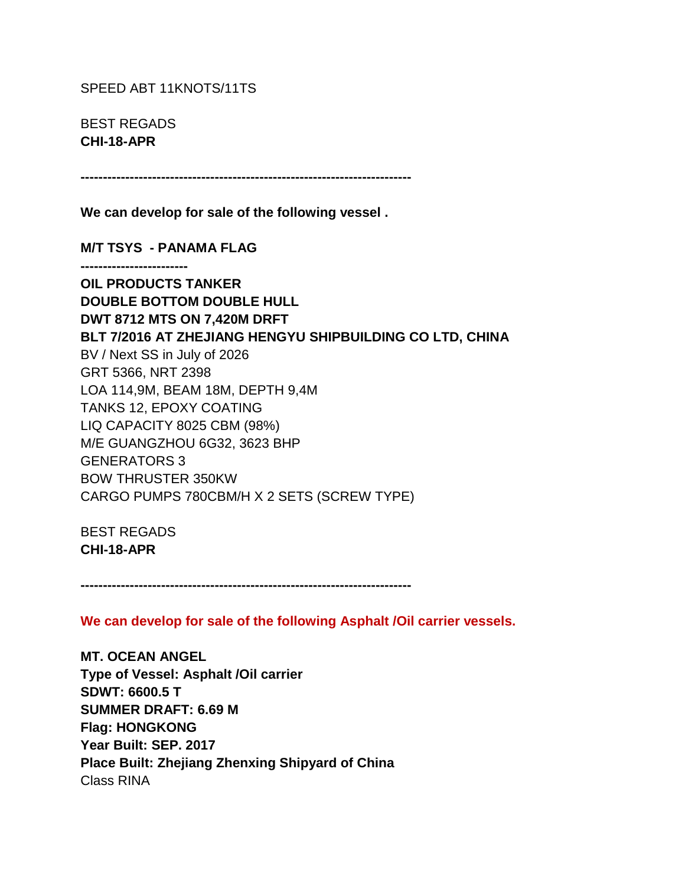SPEED ABT 11KNOTS/11TS

BEST REGADS **CHI-18-APR**

**--------------------------------------------------------------------------**

**We can develop for sale of the following vessel .**

**M/T TSYS - PANAMA FLAG**

**------------------------**

**OIL PRODUCTS TANKER DOUBLE BOTTOM DOUBLE HULL DWT 8712 MTS ON 7,420M DRFT BLT 7/2016 AT ZHEJIANG HENGYU SHIPBUILDING CO LTD, CHINA** BV / Next SS in July of 2026 GRT 5366, NRT 2398 LOA 114,9M, BEAM 18M, DEPTH 9,4M TANKS 12, EPOXY COATING LIQ CAPACITY 8025 CBM (98%) M/E GUANGZHOU 6G32, 3623 BHP GENERATORS 3 BOW THRUSTER 350KW CARGO PUMPS 780CBM/H X 2 SETS (SCREW TYPE)

BEST REGADS **CHI-18-APR**

**--------------------------------------------------------------------------**

**We can develop for sale of the following Asphalt /Oil carrier vessels.**

**MT. OCEAN ANGEL Type of Vessel: Asphalt /Oil carrier SDWT: 6600.5 T SUMMER DRAFT: 6.69 M Flag: HONGKONG Year Built: SEP. 2017 Place Built: Zhejiang Zhenxing Shipyard of China** Class RINA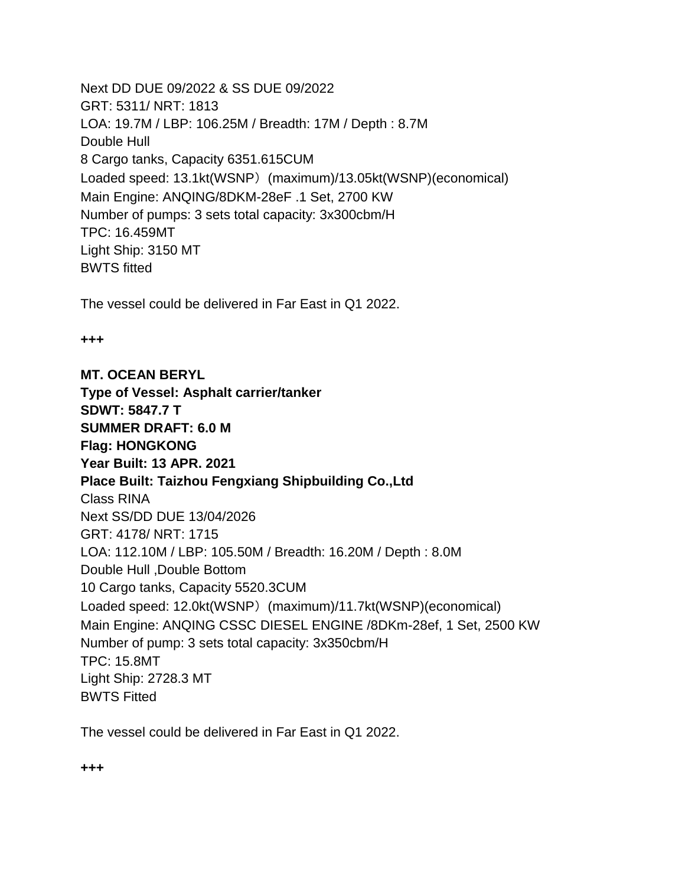Next DD DUE 09/2022 & SS DUE 09/2022 GRT: 5311/ NRT: 1813 LOA: 19.7M / LBP: 106.25M / Breadth: 17M / Depth : 8.7M Double Hull 8 Cargo tanks, Capacity 6351.615CUM Loaded speed: 13.1kt(WSNP) (maximum)/13.05kt(WSNP)(economical) Main Engine: ANQING/8DKM-28eF .1 Set, 2700 KW Number of pumps: 3 sets total capacity: 3x300cbm/H TPC: 16.459MT Light Ship: 3150 MT BWTS fitted

The vessel could be delivered in Far East in Q1 2022.

#### **+++**

**MT. OCEAN BERYL Type of Vessel: Asphalt carrier/tanker SDWT: 5847.7 T SUMMER DRAFT: 6.0 M Flag: HONGKONG Year Built: 13 APR. 2021 Place Built: Taizhou Fengxiang Shipbuilding Co.,Ltd** Class RINA Next SS/DD DUE 13/04/2026 GRT: 4178/ NRT: 1715 LOA: 112.10M / LBP: 105.50M / Breadth: 16.20M / Depth : 8.0M Double Hull ,Double Bottom 10 Cargo tanks, Capacity 5520.3CUM Loaded speed: 12.0kt(WSNP) (maximum)/11.7kt(WSNP)(economical) Main Engine: ANQING CSSC DIESEL ENGINE /8DKm-28ef, 1 Set, 2500 KW Number of pump: 3 sets total capacity: 3x350cbm/H TPC: 15.8MT Light Ship: 2728.3 MT BWTS Fitted

The vessel could be delivered in Far East in Q1 2022.

### **+++**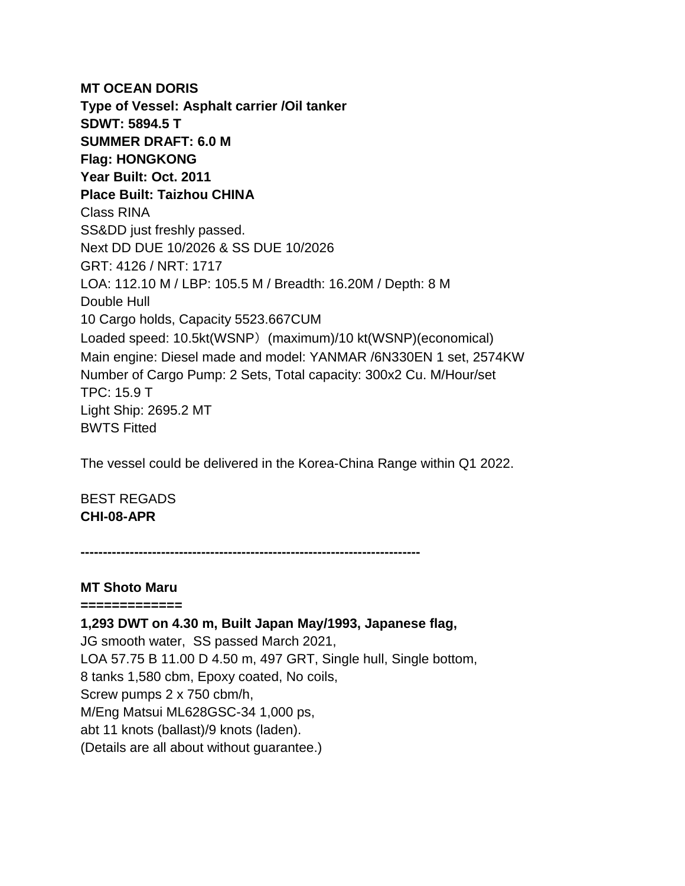**MT OCEAN DORIS Type of Vessel: Asphalt carrier /Oil tanker SDWT: 5894.5 T SUMMER DRAFT: 6.0 M Flag: HONGKONG Year Built: Oct. 2011 Place Built: Taizhou CHINA** Class RINA SS&DD just freshly passed. Next DD DUE 10/2026 & SS DUE 10/2026 GRT: 4126 / NRT: 1717 LOA: 112.10 M / LBP: 105.5 M / Breadth: 16.20M / Depth: 8 M Double Hull 10 Cargo holds, Capacity 5523.667CUM Loaded speed: 10.5kt(WSNP) (maximum)/10 kt(WSNP)(economical) Main engine: Diesel made and model: YANMAR /6N330EN 1 set, 2574KW Number of Cargo Pump: 2 Sets, Total capacity: 300x2 Cu. M/Hour/set TPC: 15.9 T Light Ship: 2695.2 MT BWTS Fitted

The vessel could be delivered in the Korea-China Range within Q1 2022.

BEST REGADS **CHI-08-APR**

**----------------------------------------------------------------------------**

### **MT Shoto Maru**

**============= 1,293 DWT on 4.30 m, Built Japan May/1993, Japanese flag,**  JG smooth water, SS passed March 2021, LOA 57.75 B 11.00 D 4.50 m, 497 GRT, Single hull, Single bottom, 8 tanks 1,580 cbm, Epoxy coated, No coils, Screw pumps 2 x 750 cbm/h, M/Eng Matsui ML628GSC-34 1,000 ps, abt 11 knots (ballast)/9 knots (laden). (Details are all about without guarantee.)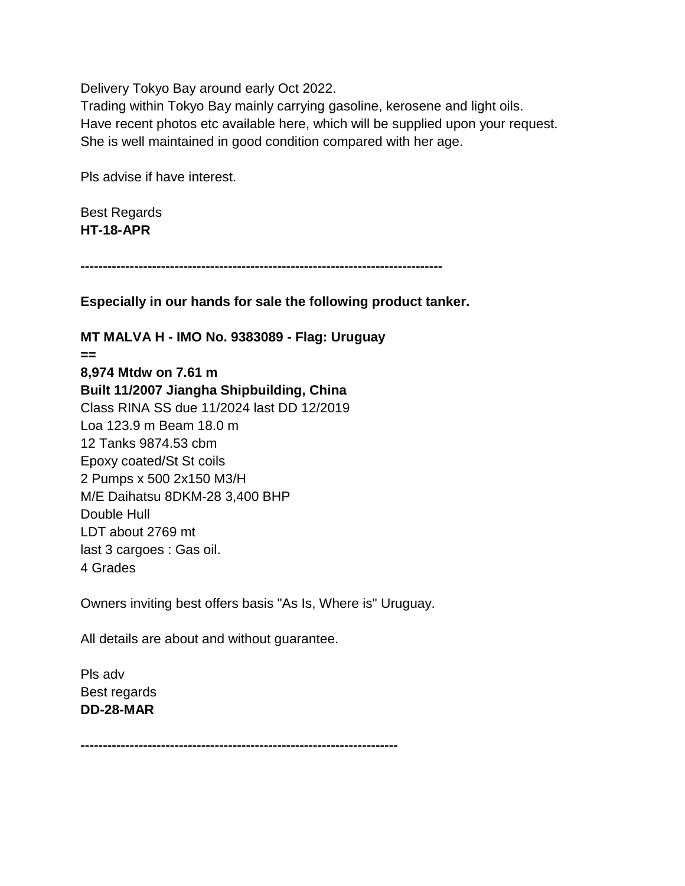Delivery Tokyo Bay around early Oct 2022.

Trading within Tokyo Bay mainly carrying gasoline, kerosene and light oils. Have recent photos etc available here, which will be supplied upon your request. She is well maintained in good condition compared with her age.

Pls advise if have interest.

Best Regards **HT-18-APR**

**---------------------------------------------------------------------------------**

**Especially in our hands for sale the following product tanker.**

**MT MALVA H - IMO No. 9383089 - Flag: Uruguay == 8,974 Mtdw on 7.61 m Built 11/2007 Jiangha Shipbuilding, China** Class RINA SS due 11/2024 last DD 12/2019 Loa 123.9 m Beam 18.0 m 12 Tanks 9874.53 cbm Epoxy coated/St St coils 2 Pumps x 500 2x150 M3/H M/E Daihatsu 8DKM-28 3,400 BHP Double Hull LDT about 2769 mt last 3 cargoes : Gas oil. 4 Grades

Owners inviting best offers basis "As Is, Where is" Uruguay.

All details are about and without guarantee.

Pls adv Best regards **DD-28-MAR**

**-----------------------------------------------------------------------**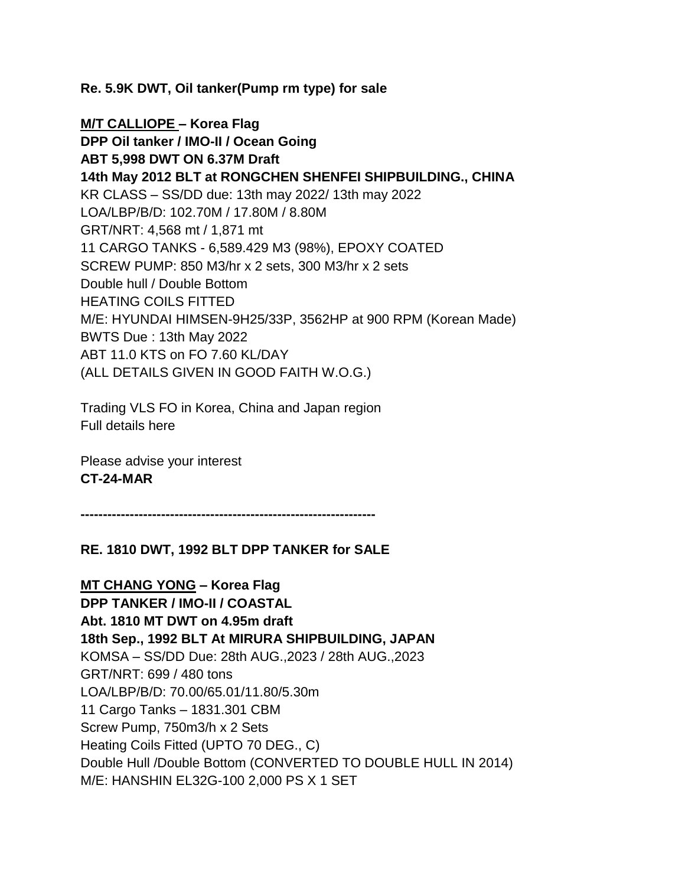**Re. 5.9K DWT, Oil tanker(Pump rm type) for sale**

**M/T CALLIOPE – Korea Flag DPP Oil tanker / IMO-II / Ocean Going ABT 5,998 DWT ON 6.37M Draft 14th May 2012 BLT at RONGCHEN SHENFEI SHIPBUILDING., CHINA** KR CLASS – SS/DD due: 13th may 2022/ 13th may 2022 LOA/LBP/B/D: 102.70M / 17.80M / 8.80M GRT/NRT: 4,568 mt / 1,871 mt 11 CARGO TANKS - 6,589.429 M3 (98%), EPOXY COATED SCREW PUMP: 850 M3/hr x 2 sets, 300 M3/hr x 2 sets Double hull / Double Bottom HEATING COILS FITTED M/E: HYUNDAI HIMSEN-9H25/33P, 3562HP at 900 RPM (Korean Made) BWTS Due : 13th May 2022 ABT 11.0 KTS on FO 7.60 KL/DAY (ALL DETAILS GIVEN IN GOOD FAITH W.O.G.)

Trading VLS FO in Korea, China and Japan region Full details here

Please advise your interest **CT-24-MAR**

**------------------------------------------------------------------**

#### **RE. 1810 DWT, 1992 BLT DPP TANKER for SALE**

**MT CHANG YONG – Korea Flag DPP TANKER / IMO-II / COASTAL Abt. 1810 MT DWT on 4.95m draft 18th Sep., 1992 BLT At MIRURA SHIPBUILDING, JAPAN** KOMSA – SS/DD Due: 28th AUG.,2023 / 28th AUG.,2023 GRT/NRT: 699 / 480 tons LOA/LBP/B/D: 70.00/65.01/11.80/5.30m 11 Cargo Tanks – 1831.301 CBM Screw Pump, 750m3/h x 2 Sets Heating Coils Fitted (UPTO 70 DEG., C) Double Hull /Double Bottom (CONVERTED TO DOUBLE HULL IN 2014) M/E: HANSHIN EL32G-100 2,000 PS X 1 SET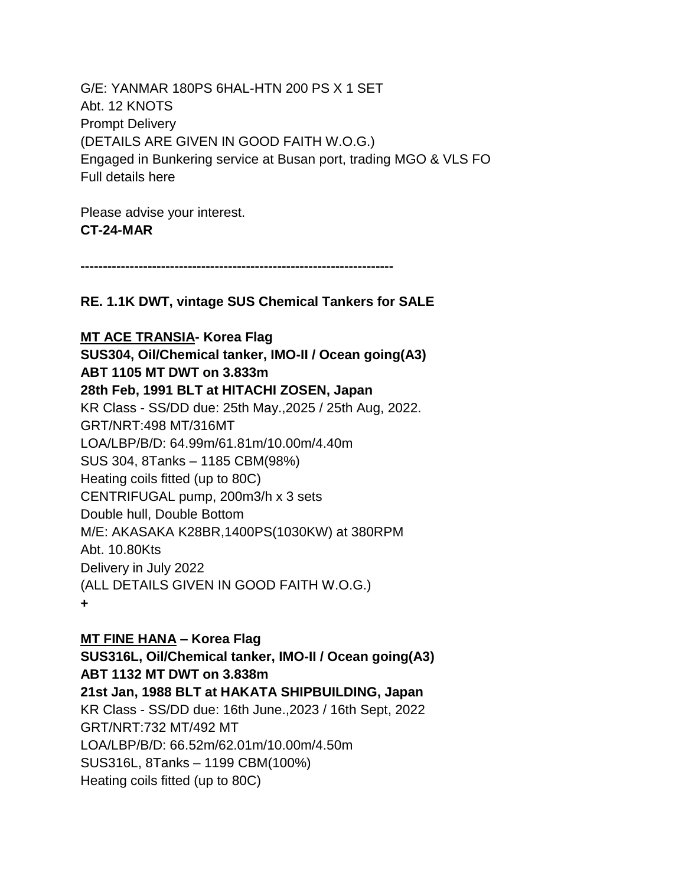G/E: YANMAR 180PS 6HAL-HTN 200 PS X 1 SET Abt. 12 KNOTS Prompt Delivery (DETAILS ARE GIVEN IN GOOD FAITH W.O.G.) Engaged in Bunkering service at Busan port, trading MGO & VLS FO Full details here

Please advise your interest. **CT-24-MAR**

**----------------------------------------------------------------------**

**RE. 1.1K DWT, vintage SUS Chemical Tankers for SALE**

**MT ACE TRANSIA- Korea Flag SUS304, Oil/Chemical tanker, IMO-II / Ocean going(A3) ABT 1105 MT DWT on 3.833m 28th Feb, 1991 BLT at HITACHI ZOSEN, Japan** KR Class - SS/DD due: 25th May.,2025 / 25th Aug, 2022. GRT/NRT:498 MT/316MT LOA/LBP/B/D: 64.99m/61.81m/10.00m/4.40m SUS 304, 8Tanks – 1185 CBM(98%) Heating coils fitted (up to 80C) CENTRIFUGAL pump, 200m3/h x 3 sets Double hull, Double Bottom M/E: AKASAKA K28BR,1400PS(1030KW) at 380RPM Abt. 10.80Kts Delivery in July 2022 (ALL DETAILS GIVEN IN GOOD FAITH W.O.G.) **+**

### **MT FINE HANA – Korea Flag**

**SUS316L, Oil/Chemical tanker, IMO-II / Ocean going(A3) ABT 1132 MT DWT on 3.838m 21st Jan, 1988 BLT at HAKATA SHIPBUILDING, Japan** KR Class - SS/DD due: 16th June.,2023 / 16th Sept, 2022 GRT/NRT:732 MT/492 MT LOA/LBP/B/D: 66.52m/62.01m/10.00m/4.50m SUS316L, 8Tanks – 1199 CBM(100%) Heating coils fitted (up to 80C)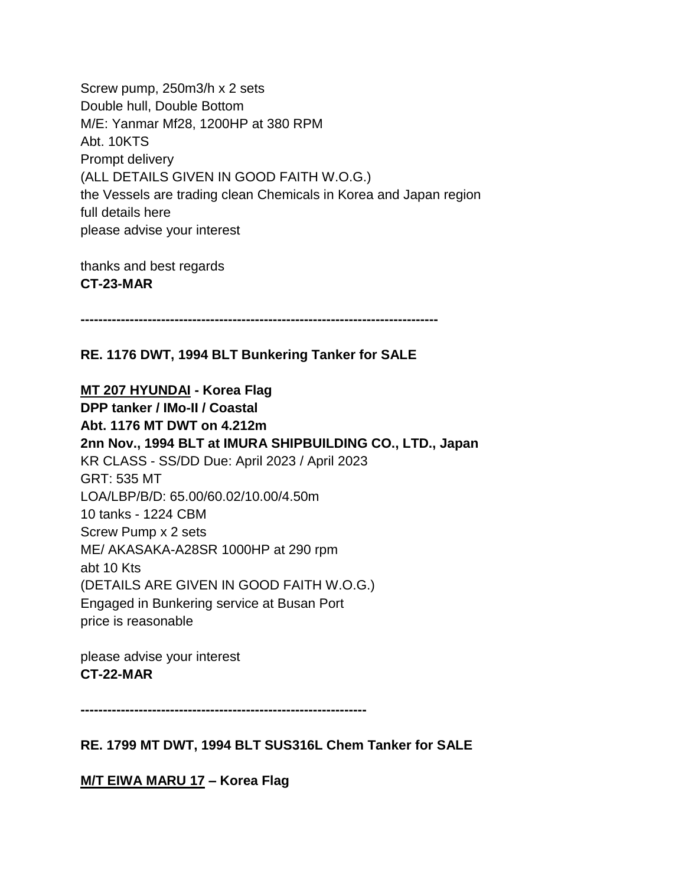Screw pump, 250m3/h x 2 sets Double hull, Double Bottom M/E: Yanmar Mf28, 1200HP at 380 RPM Abt. 10KTS Prompt delivery (ALL DETAILS GIVEN IN GOOD FAITH W.O.G.) the Vessels are trading clean Chemicals in Korea and Japan region full details here please advise your interest

thanks and best regards **CT-23-MAR**

**--------------------------------------------------------------------------------**

**RE. 1176 DWT, 1994 BLT Bunkering Tanker for SALE**

**MT 207 HYUNDAI - Korea Flag DPP tanker / IMo-II / Coastal Abt. 1176 MT DWT on 4.212m 2nn Nov., 1994 BLT at IMURA SHIPBUILDING CO., LTD., Japan** KR CLASS - SS/DD Due: April 2023 / April 2023 GRT: 535 MT LOA/LBP/B/D: 65.00/60.02/10.00/4.50m 10 tanks - 1224 CBM Screw Pump x 2 sets ME/ AKASAKA-A28SR 1000HP at 290 rpm abt 10 Kts (DETAILS ARE GIVEN IN GOOD FAITH W.O.G.) Engaged in Bunkering service at Busan Port price is reasonable

please advise your interest **CT-22-MAR**

**----------------------------------------------------------------**

**RE. 1799 MT DWT, 1994 BLT SUS316L Chem Tanker for SALE**

**M/T EIWA MARU 17 – Korea Flag**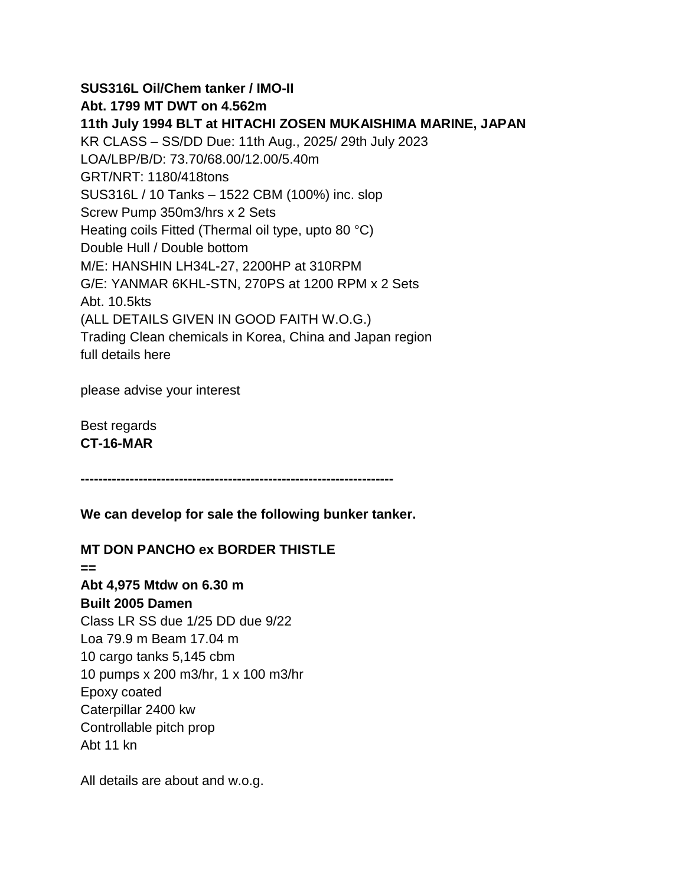**SUS316L Oil/Chem tanker / IMO-II Abt. 1799 MT DWT on 4.562m 11th July 1994 BLT at HITACHI ZOSEN MUKAISHIMA MARINE, JAPAN** KR CLASS – SS/DD Due: 11th Aug., 2025/ 29th July 2023 LOA/LBP/B/D: 73.70/68.00/12.00/5.40m GRT/NRT: 1180/418tons SUS316L / 10 Tanks – 1522 CBM (100%) inc. slop Screw Pump 350m3/hrs x 2 Sets Heating coils Fitted (Thermal oil type, upto 80 °C) Double Hull / Double bottom M/E: HANSHIN LH34L-27, 2200HP at 310RPM G/E: YANMAR 6KHL-STN, 270PS at 1200 RPM x 2 Sets Abt. 10.5kts (ALL DETAILS GIVEN IN GOOD FAITH W.O.G.) Trading Clean chemicals in Korea, China and Japan region full details here

please advise your interest

Best regards **CT-16-MAR**

**----------------------------------------------------------------------**

**We can develop for sale the following bunker tanker.**

### **MT DON PANCHO ex BORDER THISTLE**

**== Abt 4,975 Mtdw on 6.30 m Built 2005 Damen** Class LR SS due 1/25 DD due 9/22 Loa 79.9 m Beam 17.04 m 10 cargo tanks 5,145 cbm 10 pumps x 200 m3/hr, 1 x 100 m3/hr Epoxy coated Caterpillar 2400 kw Controllable pitch prop Abt 11 kn

All details are about and w.o.g.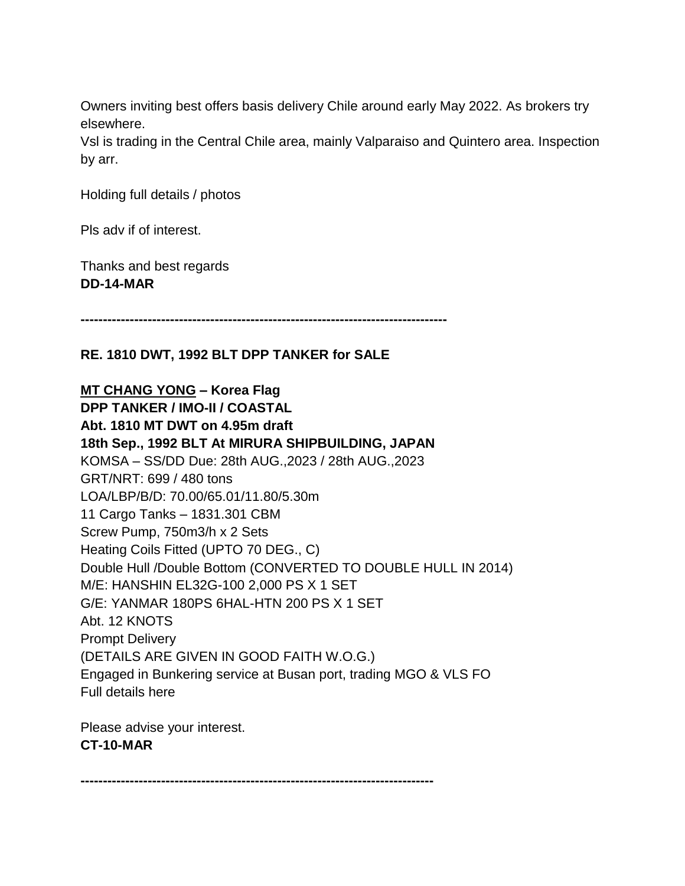Owners inviting best offers basis delivery Chile around early May 2022. As brokers try elsewhere.

Vsl is trading in the Central Chile area, mainly Valparaiso and Quintero area. Inspection by arr.

Holding full details / photos

Pls adv if of interest.

Thanks and best regards **DD-14-MAR**

**----------------------------------------------------------------------------------**

# **RE. 1810 DWT, 1992 BLT DPP TANKER for SALE**

**MT CHANG YONG – Korea Flag DPP TANKER / IMO-II / COASTAL Abt. 1810 MT DWT on 4.95m draft 18th Sep., 1992 BLT At MIRURA SHIPBUILDING, JAPAN** KOMSA – SS/DD Due: 28th AUG.,2023 / 28th AUG.,2023 GRT/NRT: 699 / 480 tons LOA/LBP/B/D: 70.00/65.01/11.80/5.30m 11 Cargo Tanks – 1831.301 CBM Screw Pump, 750m3/h x 2 Sets Heating Coils Fitted (UPTO 70 DEG., C) Double Hull /Double Bottom (CONVERTED TO DOUBLE HULL IN 2014) M/E: HANSHIN EL32G-100 2,000 PS X 1 SET G/E: YANMAR 180PS 6HAL-HTN 200 PS X 1 SET Abt. 12 KNOTS Prompt Delivery (DETAILS ARE GIVEN IN GOOD FAITH W.O.G.) Engaged in Bunkering service at Busan port, trading MGO & VLS FO Full details here

Please advise your interest. **CT-10-MAR**

**-------------------------------------------------------------------------------**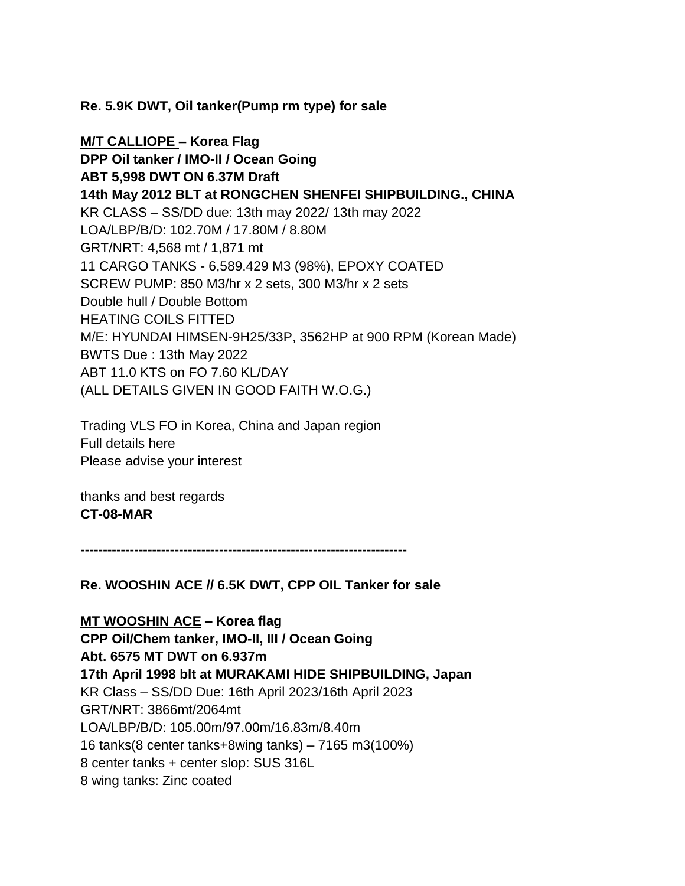**Re. 5.9K DWT, Oil tanker(Pump rm type) for sale**

**M/T CALLIOPE – Korea Flag DPP Oil tanker / IMO-II / Ocean Going ABT 5,998 DWT ON 6.37M Draft 14th May 2012 BLT at RONGCHEN SHENFEI SHIPBUILDING., CHINA** KR CLASS – SS/DD due: 13th may 2022/ 13th may 2022 LOA/LBP/B/D: 102.70M / 17.80M / 8.80M GRT/NRT: 4,568 mt / 1,871 mt 11 CARGO TANKS - 6,589.429 M3 (98%), EPOXY COATED SCREW PUMP: 850 M3/hr x 2 sets, 300 M3/hr x 2 sets Double hull / Double Bottom HEATING COILS FITTED M/E: HYUNDAI HIMSEN-9H25/33P, 3562HP at 900 RPM (Korean Made) BWTS Due : 13th May 2022 ABT 11.0 KTS on FO 7.60 KL/DAY (ALL DETAILS GIVEN IN GOOD FAITH W.O.G.)

Trading VLS FO in Korea, China and Japan region Full details here Please advise your interest

thanks and best regards **CT-08-MAR**

**-------------------------------------------------------------------------**

**Re. WOOSHIN ACE // 6.5K DWT, CPP OIL Tanker for sale**

**MT WOOSHIN ACE – Korea flag CPP Oil/Chem tanker, IMO-II, III / Ocean Going Abt. 6575 MT DWT on 6.937m 17th April 1998 blt at MURAKAMI HIDE SHIPBUILDING, Japan** KR Class – SS/DD Due: 16th April 2023/16th April 2023 GRT/NRT: 3866mt/2064mt LOA/LBP/B/D: 105.00m/97.00m/16.83m/8.40m 16 tanks(8 center tanks+8wing tanks) – 7165 m3(100%) 8 center tanks + center slop: SUS 316L 8 wing tanks: Zinc coated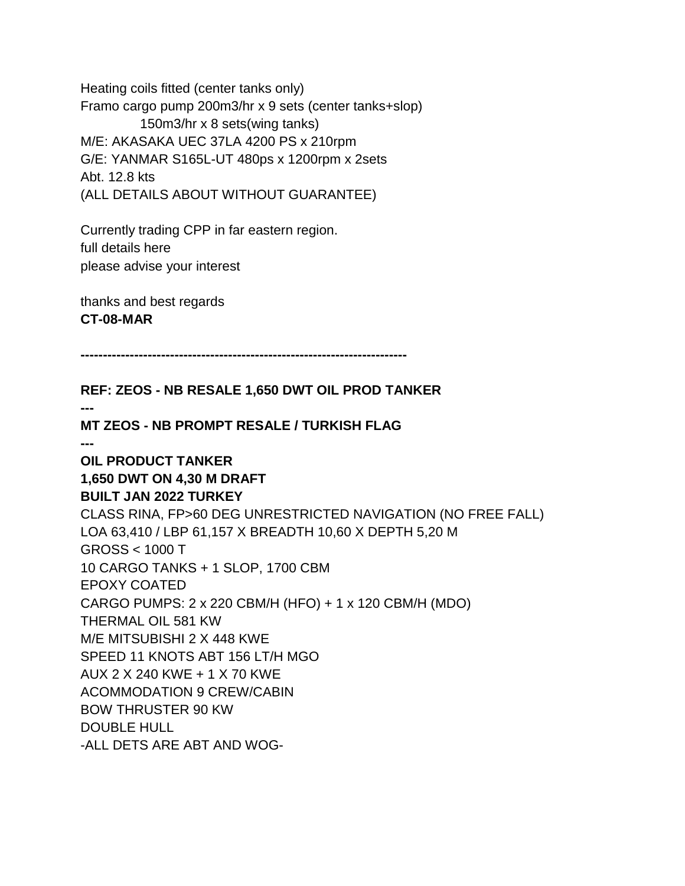Heating coils fitted (center tanks only) Framo cargo pump 200m3/hr x 9 sets (center tanks+slop) 150m3/hr x 8 sets(wing tanks) M/E: AKASAKA UEC 37LA 4200 PS x 210rpm G/E: YANMAR S165L-UT 480ps x 1200rpm x 2sets Abt. 12.8 kts (ALL DETAILS ABOUT WITHOUT GUARANTEE)

Currently trading CPP in far eastern region. full details here please advise your interest

thanks and best regards **CT-08-MAR**

**-------------------------------------------------------------------------**

**REF: ZEOS - NB RESALE 1,650 DWT OIL PROD TANKER --- MT ZEOS - NB PROMPT RESALE / TURKISH FLAG --- OIL PRODUCT TANKER 1,650 DWT ON 4,30 M DRAFT BUILT JAN 2022 TURKEY** CLASS RINA, FP>60 DEG UNRESTRICTED NAVIGATION (NO FREE FALL) LOA 63,410 / LBP 61,157 X BREADTH 10,60 X DEPTH 5,20 M GROSS < 1000 T 10 CARGO TANKS + 1 SLOP, 1700 CBM EPOXY COATED CARGO PUMPS: 2 x 220 CBM/H (HFO) + 1 x 120 CBM/H (MDO) THERMAL OIL 581 KW M/E MITSUBISHI 2 X 448 KWE SPEED 11 KNOTS ABT 156 LT/H MGO AUX 2 X 240 KWE + 1 X 70 KWE ACOMMODATION 9 CREW/CABIN BOW THRUSTER 90 KW DOUBLE HULL -ALL DETS ARE ABT AND WOG-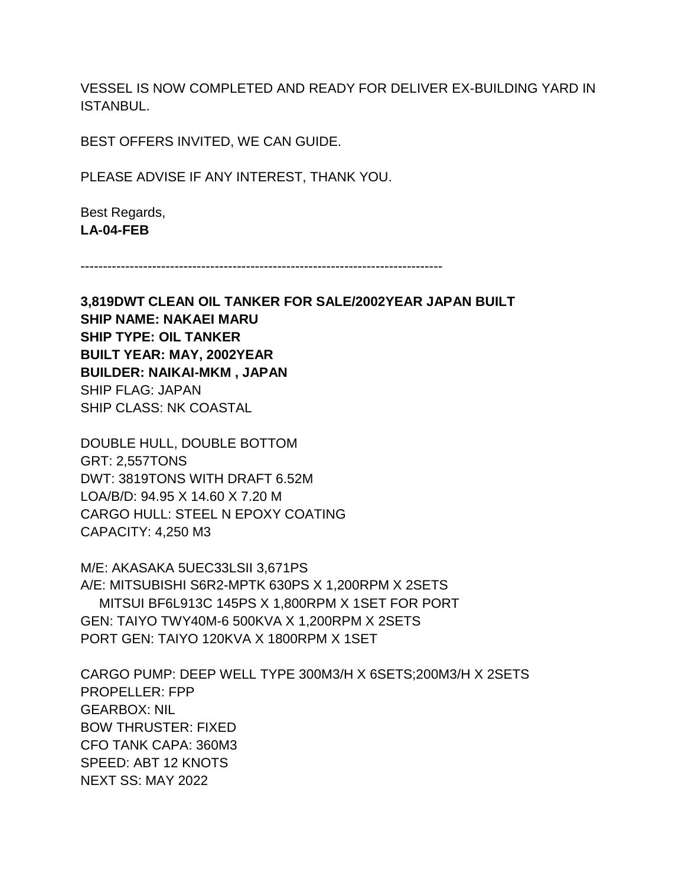VESSEL IS NOW COMPLETED AND READY FOR DELIVER EX-BUILDING YARD IN ISTANBUL.

BEST OFFERS INVITED, WE CAN GUIDE.

PLEASE ADVISE IF ANY INTEREST, THANK YOU.

Best Regards, **LA-04-FEB**

---------------------------------------------------------------------------------

**3,819DWT CLEAN OIL TANKER FOR SALE/2002YEAR JAPAN BUILT SHIP NAME: NAKAEI MARU SHIP TYPE: OIL TANKER BUILT YEAR: MAY, 2002YEAR BUILDER: NAIKAI-MKM , JAPAN** SHIP FLAG: JAPAN SHIP CLASS: NK COASTAL

DOUBLE HULL, DOUBLE BOTTOM GRT: 2,557TONS DWT: 3819TONS WITH DRAFT 6.52M LOA/B/D: 94.95 X 14.60 X 7.20 M CARGO HULL: STEEL N EPOXY COATING CAPACITY: 4,250 M3

M/E: AKASAKA 5UEC33LSII 3,671PS A/E: MITSUBISHI S6R2-MPTK 630PS X 1,200RPM X 2SETS MITSUI BF6L913C 145PS X 1,800RPM X 1SET FOR PORT GEN: TAIYO TWY40M-6 500KVA X 1,200RPM X 2SETS PORT GEN: TAIYO 120KVA X 1800RPM X 1SET

CARGO PUMP: DEEP WELL TYPE 300M3/H X 6SETS;200M3/H X 2SETS PROPELLER: FPP GEARBOX: NIL BOW THRUSTER: FIXED CFO TANK CAPA: 360M3 SPEED: ABT 12 KNOTS NEXT SS: MAY 2022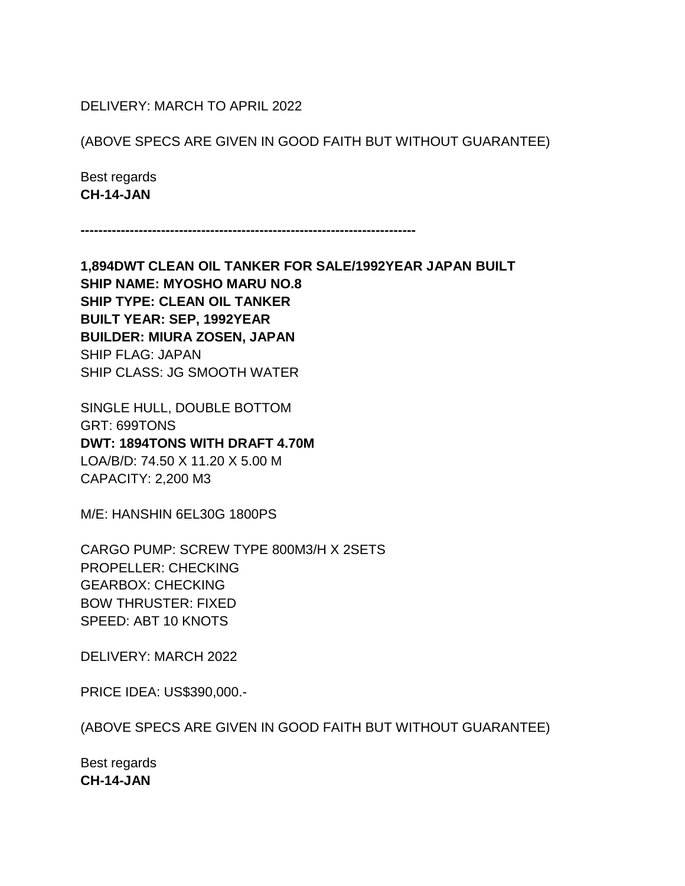### DELIVERY: MARCH TO APRIL 2022

#### (ABOVE SPECS ARE GIVEN IN GOOD FAITH BUT WITHOUT GUARANTEE)

Best regards **CH-14-JAN**

**---------------------------------------------------------------------------**

**1,894DWT CLEAN OIL TANKER FOR SALE/1992YEAR JAPAN BUILT SHIP NAME: MYOSHO MARU NO.8 SHIP TYPE: CLEAN OIL TANKER BUILT YEAR: SEP, 1992YEAR BUILDER: MIURA ZOSEN, JAPAN** SHIP FLAG: JAPAN SHIP CLASS: JG SMOOTH WATER

SINGLE HULL, DOUBLE BOTTOM GRT: 699TONS **DWT: 1894TONS WITH DRAFT 4.70M** LOA/B/D: 74.50 X 11.20 X 5.00 M CAPACITY: 2,200 M3

M/E: HANSHIN 6EL30G 1800PS

CARGO PUMP: SCREW TYPE 800M3/H X 2SETS PROPELLER: CHECKING GEARBOX: CHECKING BOW THRUSTER: FIXED SPEED: ABT 10 KNOTS

DELIVERY: MARCH 2022

PRICE IDEA: US\$390,000.-

(ABOVE SPECS ARE GIVEN IN GOOD FAITH BUT WITHOUT GUARANTEE)

Best regards **CH-14-JAN**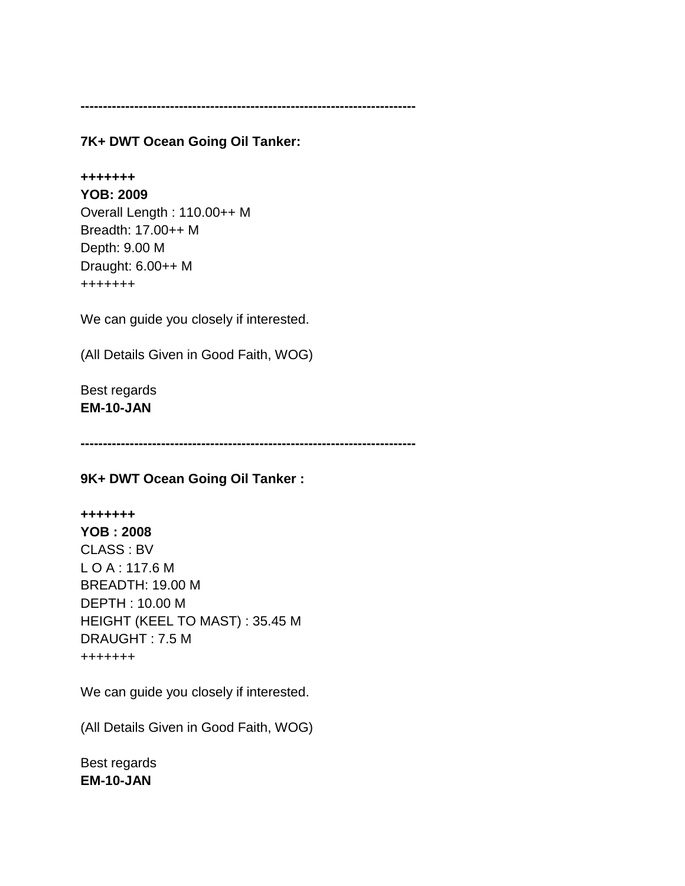**---------------------------------------------------------------------------**

**7K+ DWT Ocean Going Oil Tanker:** 

# **+++++++**

**YOB: 2009** Overall Length : 110.00++ M Breadth: 17.00++ M Depth: 9.00 M Draught: 6.00++ M +++++++

We can guide you closely if interested.

(All Details Given in Good Faith, WOG)

Best regards **EM-10-JAN**

**---------------------------------------------------------------------------**

**9K+ DWT Ocean Going Oil Tanker :**

# **+++++++ YOB : 2008** CLASS : BV L O A : 117.6 M BREADTH: 19.00 M DEPTH : 10.00 M HEIGHT (KEEL TO MAST) : 35.45 M DRAUGHT : 7.5 M +++++++

We can guide you closely if interested.

(All Details Given in Good Faith, WOG)

Best regards **EM-10-JAN**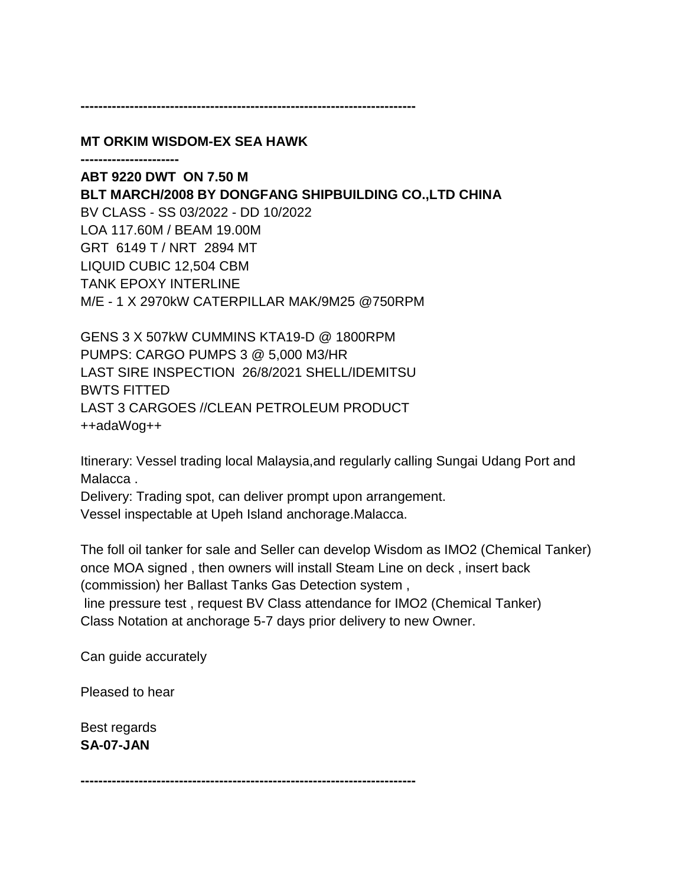#### **---------------------------------------------------------------------------**

**MT ORKIM WISDOM-EX SEA HAWK**

**----------------------**

**ABT 9220 DWT ON 7.50 M BLT MARCH/2008 BY DONGFANG SHIPBUILDING CO.,LTD CHINA** BV CLASS - SS 03/2022 - DD 10/2022 LOA 117.60M / BEAM 19.00M GRT 6149 T / NRT 2894 MT LIQUID CUBIC 12,504 CBM TANK EPOXY INTERLINE M/E - 1 X 2970kW CATERPILLAR MAK/9M25 @750RPM

GENS 3 X 507kW CUMMINS KTA19-D @ 1800RPM PUMPS: CARGO PUMPS 3 @ 5,000 M3/HR LAST SIRE INSPECTION 26/8/2021 SHELL/IDEMITSU BWTS FITTED LAST 3 CARGOES //CLEAN PETROLEUM PRODUCT ++adaWog++

Itinerary: Vessel trading local Malaysia,and regularly calling Sungai Udang Port and Malacca .

Delivery: Trading spot, can deliver prompt upon arrangement. Vessel inspectable at Upeh Island anchorage.Malacca.

The foll oil tanker for sale and Seller can develop Wisdom as IMO2 (Chemical Tanker) once MOA signed , then owners will install Steam Line on deck , insert back (commission) her Ballast Tanks Gas Detection system ,

line pressure test , request BV Class attendance for IMO2 (Chemical Tanker)

Class Notation at anchorage 5-7 days prior delivery to new Owner.

Can guide accurately

Pleased to hear

Best regards **SA-07-JAN**

**---------------------------------------------------------------------------**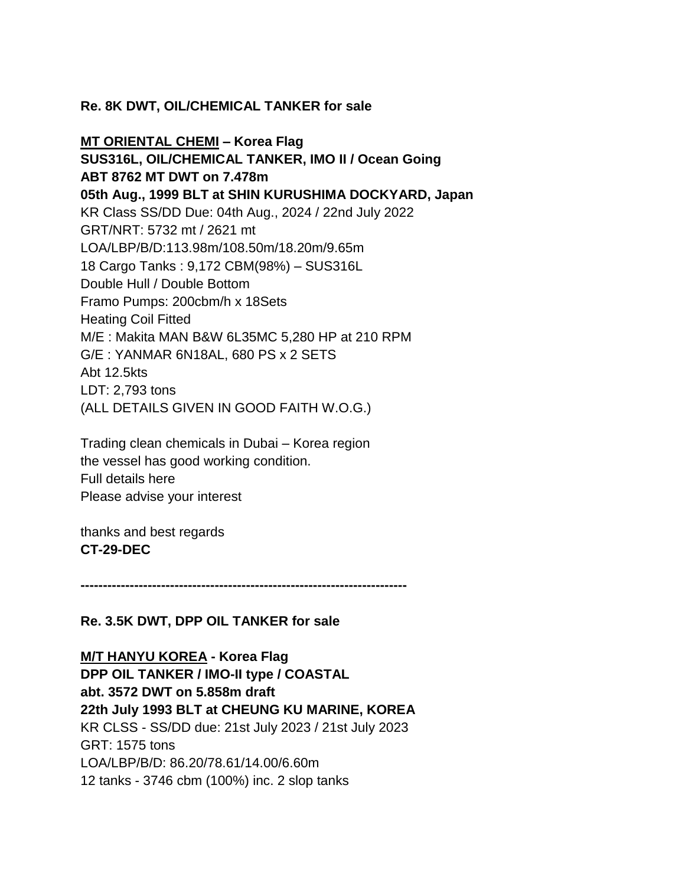# **Re. 8K DWT, OIL/CHEMICAL TANKER for sale**

**MT ORIENTAL CHEMI – Korea Flag SUS316L, OIL/CHEMICAL TANKER, IMO II / Ocean Going ABT 8762 MT DWT on 7.478m 05th Aug., 1999 BLT at SHIN KURUSHIMA DOCKYARD, Japan** KR Class SS/DD Due: 04th Aug., 2024 / 22nd July 2022 GRT/NRT: 5732 mt / 2621 mt LOA/LBP/B/D:113.98m/108.50m/18.20m/9.65m 18 Cargo Tanks : 9,172 CBM(98%) – SUS316L Double Hull / Double Bottom Framo Pumps: 200cbm/h x 18Sets Heating Coil Fitted M/E : Makita MAN B&W 6L35MC 5,280 HP at 210 RPM G/E : YANMAR 6N18AL, 680 PS x 2 SETS Abt 12.5kts LDT: 2,793 tons (ALL DETAILS GIVEN IN GOOD FAITH W.O.G.)

Trading clean chemicals in Dubai – Korea region the vessel has good working condition. Full details here Please advise your interest

thanks and best regards **CT-29-DEC**

**-------------------------------------------------------------------------**

### **Re. 3.5K DWT, DPP OIL TANKER for sale**

**M/T HANYU KOREA - Korea Flag DPP OIL TANKER / IMO-II type / COASTAL abt. 3572 DWT on 5.858m draft 22th July 1993 BLT at CHEUNG KU MARINE, KOREA** KR CLSS - SS/DD due: 21st July 2023 / 21st July 2023 GRT: 1575 tons LOA/LBP/B/D: 86.20/78.61/14.00/6.60m 12 tanks - 3746 cbm (100%) inc. 2 slop tanks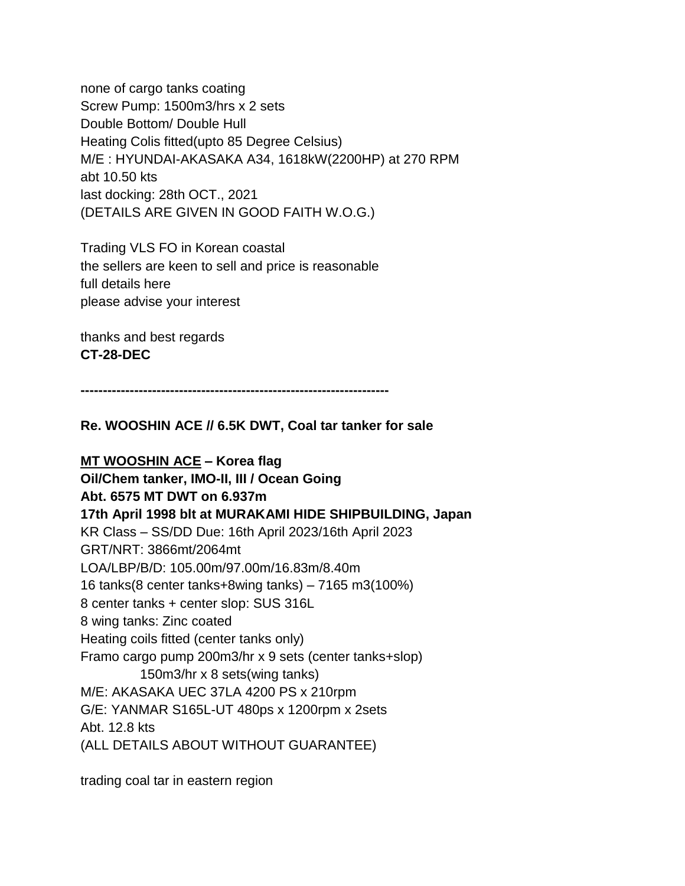none of cargo tanks coating Screw Pump: 1500m3/hrs x 2 sets Double Bottom/ Double Hull Heating Colis fitted(upto 85 Degree Celsius) M/E : HYUNDAI-AKASAKA A34, 1618kW(2200HP) at 270 RPM abt 10.50 kts last docking: 28th OCT., 2021 (DETAILS ARE GIVEN IN GOOD FAITH W.O.G.)

Trading VLS FO in Korean coastal the sellers are keen to sell and price is reasonable full details here please advise your interest

thanks and best regards **CT-28-DEC**

**---------------------------------------------------------------------**

**Re. WOOSHIN ACE // 6.5K DWT, Coal tar tanker for sale**

**MT WOOSHIN ACE – Korea flag Oil/Chem tanker, IMO-II, III / Ocean Going Abt. 6575 MT DWT on 6.937m 17th April 1998 blt at MURAKAMI HIDE SHIPBUILDING, Japan** KR Class – SS/DD Due: 16th April 2023/16th April 2023 GRT/NRT: 3866mt/2064mt LOA/LBP/B/D: 105.00m/97.00m/16.83m/8.40m 16 tanks(8 center tanks+8wing tanks) – 7165 m3(100%) 8 center tanks + center slop: SUS 316L 8 wing tanks: Zinc coated Heating coils fitted (center tanks only) Framo cargo pump 200m3/hr x 9 sets (center tanks+slop) 150m3/hr x 8 sets(wing tanks) M/E: AKASAKA UEC 37LA 4200 PS x 210rpm G/E: YANMAR S165L-UT 480ps x 1200rpm x 2sets Abt. 12.8 kts (ALL DETAILS ABOUT WITHOUT GUARANTEE)

trading coal tar in eastern region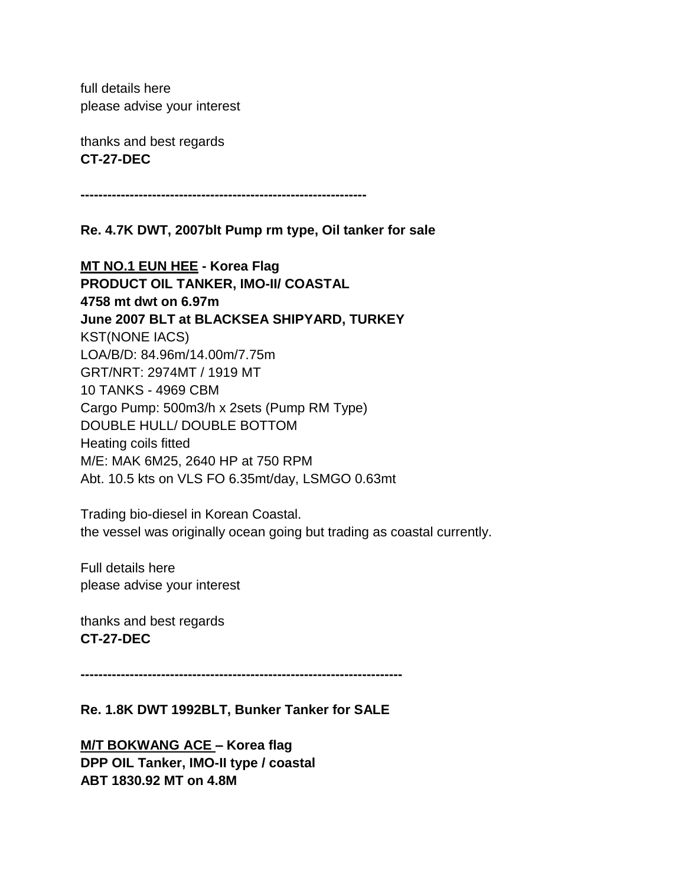full details here please advise your interest

thanks and best regards **CT-27-DEC**

**----------------------------------------------------------------**

**Re. 4.7K DWT, 2007blt Pump rm type, Oil tanker for sale**

**MT NO.1 EUN HEE - Korea Flag PRODUCT OIL TANKER, IMO-II/ COASTAL 4758 mt dwt on 6.97m June 2007 BLT at BLACKSEA SHIPYARD, TURKEY** KST(NONE IACS) LOA/B/D: 84.96m/14.00m/7.75m GRT/NRT: 2974MT / 1919 MT 10 TANKS - 4969 CBM Cargo Pump: 500m3/h x 2sets (Pump RM Type) DOUBLE HULL/ DOUBLE BOTTOM Heating coils fitted M/E: MAK 6M25, 2640 HP at 750 RPM Abt. 10.5 kts on VLS FO 6.35mt/day, LSMGO 0.63mt

Trading bio-diesel in Korean Coastal. the vessel was originally ocean going but trading as coastal currently.

Full details here please advise your interest

thanks and best regards **CT-27-DEC**

**------------------------------------------------------------------------**

**Re. 1.8K DWT 1992BLT, Bunker Tanker for SALE**

**M/T BOKWANG ACE – Korea flag DPP OIL Tanker, IMO-II type / coastal ABT 1830.92 MT on 4.8M**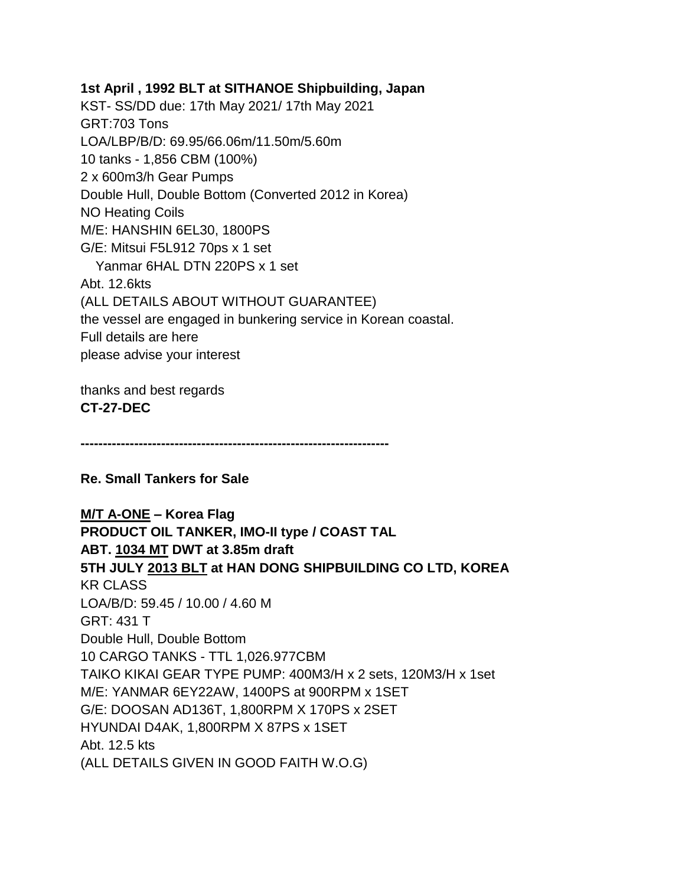**1st April , 1992 BLT at SITHANOE Shipbuilding, Japan** KST- SS/DD due: 17th May 2021/ 17th May 2021 GRT:703 Tons LOA/LBP/B/D: 69.95/66.06m/11.50m/5.60m 10 tanks - 1,856 CBM (100%) 2 x 600m3/h Gear Pumps Double Hull, Double Bottom (Converted 2012 in Korea) NO Heating Coils M/E: HANSHIN 6EL30, 1800PS G/E: Mitsui F5L912 70ps x 1 set Yanmar 6HAL DTN 220PS x 1 set Abt. 12.6kts (ALL DETAILS ABOUT WITHOUT GUARANTEE) the vessel are engaged in bunkering service in Korean coastal. Full details are here please advise your interest

thanks and best regards **CT-27-DEC**

**---------------------------------------------------------------------**

**Re. Small Tankers for Sale**

**M/T A-ONE – Korea Flag PRODUCT OIL TANKER, IMO-II type / COAST TAL ABT. 1034 MT DWT at 3.85m draft 5TH JULY 2013 BLT at HAN DONG SHIPBUILDING CO LTD, KOREA** KR CLASS LOA/B/D: 59.45 / 10.00 / 4.60 M GRT: 431 T Double Hull, Double Bottom 10 CARGO TANKS - TTL 1,026.977CBM TAIKO KIKAI GEAR TYPE PUMP: 400M3/H x 2 sets, 120M3/H x 1set M/E: YANMAR 6EY22AW, 1400PS at 900RPM x 1SET G/E: DOOSAN AD136T, 1,800RPM X 170PS x 2SET HYUNDAI D4AK, 1,800RPM X 87PS x 1SET Abt. 12.5 kts (ALL DETAILS GIVEN IN GOOD FAITH W.O.G)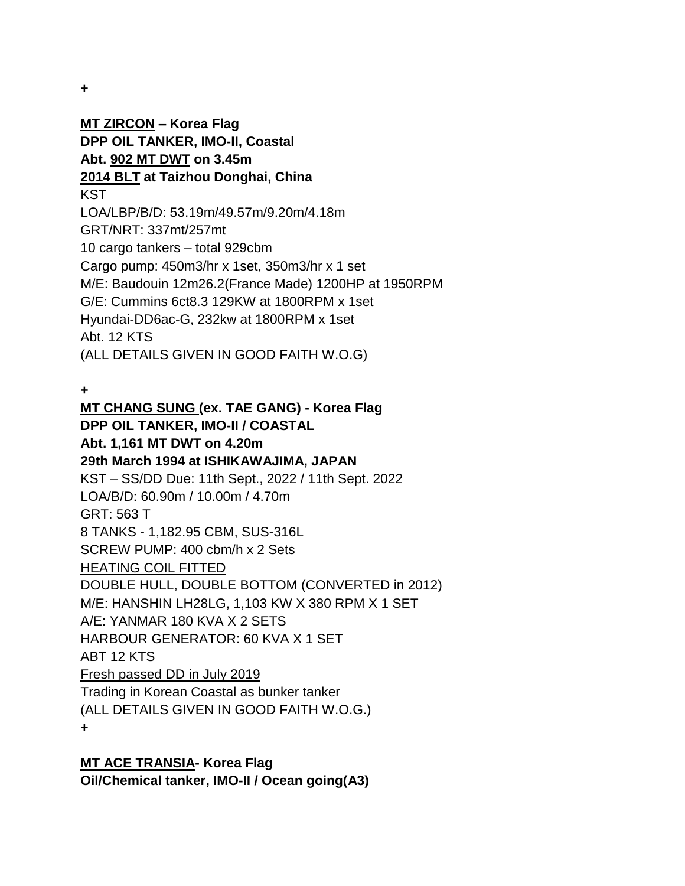**+**

**MT ZIRCON – Korea Flag DPP OIL TANKER, IMO-II, Coastal Abt. 902 MT DWT on 3.45m 2014 BLT at Taizhou Donghai, China KST** LOA/LBP/B/D: 53.19m/49.57m/9.20m/4.18m GRT/NRT: 337mt/257mt 10 cargo tankers – total 929cbm Cargo pump: 450m3/hr x 1set, 350m3/hr x 1 set M/E: Baudouin 12m26.2(France Made) 1200HP at 1950RPM G/E: Cummins 6ct8.3 129KW at 1800RPM x 1set Hyundai-DD6ac-G, 232kw at 1800RPM x 1set Abt. 12 KTS (ALL DETAILS GIVEN IN GOOD FAITH W.O.G)

**+**

**MT CHANG SUNG (ex. TAE GANG) - Korea Flag DPP OIL TANKER, IMO-II / COASTAL Abt. 1,161 MT DWT on 4.20m 29th March 1994 at ISHIKAWAJIMA, JAPAN** KST – SS/DD Due: 11th Sept., 2022 / 11th Sept. 2022 LOA/B/D: 60.90m / 10.00m / 4.70m GRT: 563 T 8 TANKS - 1,182.95 CBM, SUS-316L SCREW PUMP: 400 cbm/h x 2 Sets HEATING COIL FITTED DOUBLE HULL, DOUBLE BOTTOM (CONVERTED in 2012) M/E: HANSHIN LH28LG, 1,103 KW X 380 RPM X 1 SET A/E: YANMAR 180 KVA X 2 SETS HARBOUR GENERATOR: 60 KVA X 1 SET ABT 12 KTS Fresh passed DD in July 2019 Trading in Korean Coastal as bunker tanker (ALL DETAILS GIVEN IN GOOD FAITH W.O.G.) **+**

# **MT ACE TRANSIA- Korea Flag**

**Oil/Chemical tanker, IMO-II / Ocean going(A3)**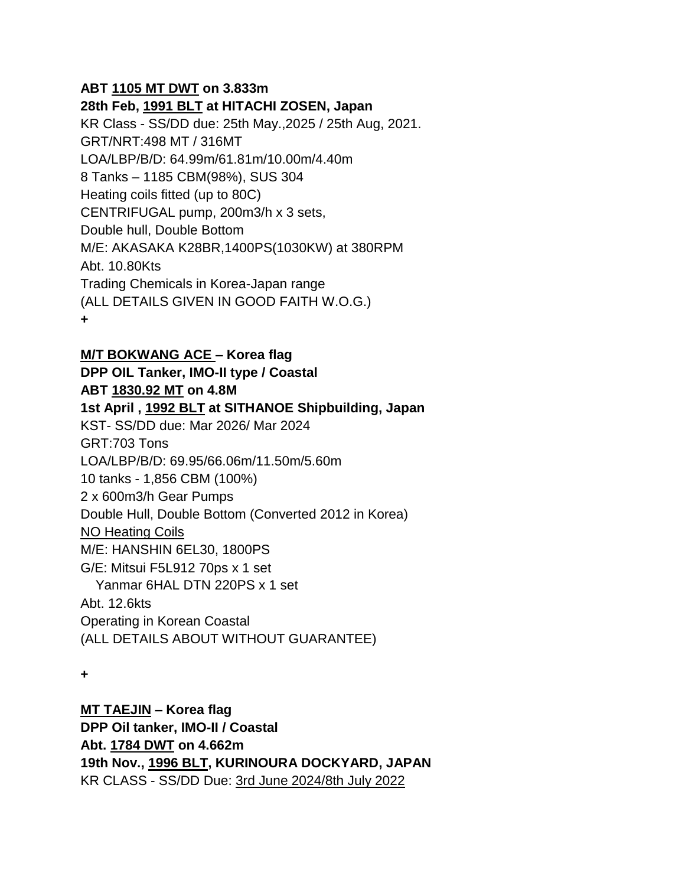### **ABT 1105 MT DWT on 3.833m**

**28th Feb, 1991 BLT at HITACHI ZOSEN, Japan**

KR Class - SS/DD due: 25th May.,2025 / 25th Aug, 2021. GRT/NRT:498 MT / 316MT LOA/LBP/B/D: 64.99m/61.81m/10.00m/4.40m 8 Tanks – 1185 CBM(98%), SUS 304 Heating coils fitted (up to 80C) CENTRIFUGAL pump, 200m3/h x 3 sets, Double hull, Double Bottom M/E: AKASAKA K28BR,1400PS(1030KW) at 380RPM Abt. 10.80Kts Trading Chemicals in Korea-Japan range (ALL DETAILS GIVEN IN GOOD FAITH W.O.G.) **+**

**M/T BOKWANG ACE – Korea flag DPP OIL Tanker, IMO-II type / Coastal ABT 1830.92 MT on 4.8M 1st April , 1992 BLT at SITHANOE Shipbuilding, Japan** KST- SS/DD due: Mar 2026/ Mar 2024 GRT:703 Tons LOA/LBP/B/D: 69.95/66.06m/11.50m/5.60m 10 tanks - 1,856 CBM (100%) 2 x 600m3/h Gear Pumps Double Hull, Double Bottom (Converted 2012 in Korea) NO Heating Coils M/E: HANSHIN 6EL30, 1800PS G/E: Mitsui F5L912 70ps x 1 set Yanmar 6HAL DTN 220PS x 1 set Abt. 12.6kts Operating in Korean Coastal (ALL DETAILS ABOUT WITHOUT GUARANTEE)

**+**

**MT TAEJIN – Korea flag DPP Oil tanker, IMO-II / Coastal Abt. 1784 DWT on 4.662m 19th Nov., 1996 BLT, KURINOURA DOCKYARD, JAPAN** KR CLASS - SS/DD Due: 3rd June 2024/8th July 2022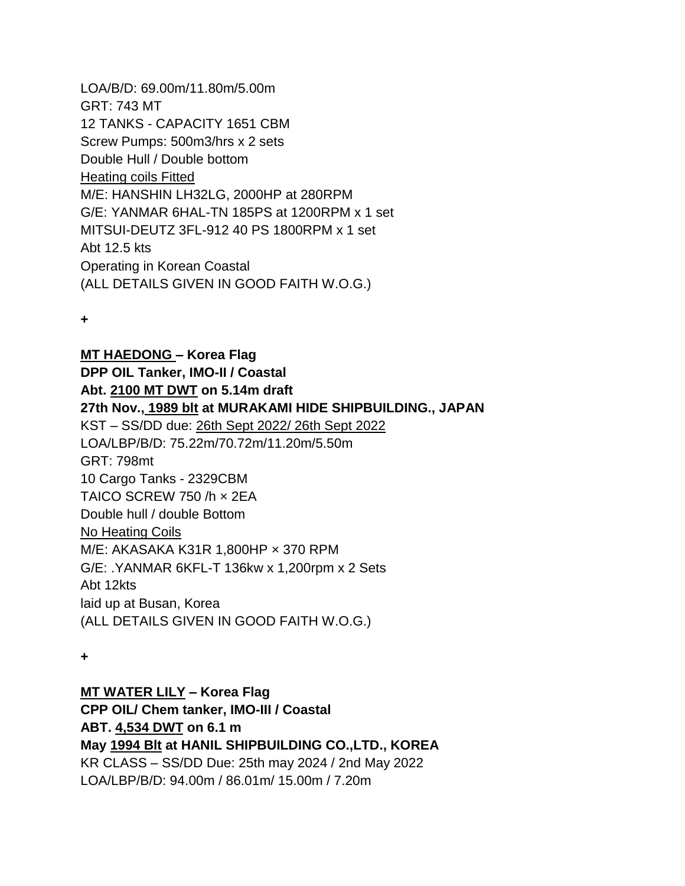LOA/B/D: 69.00m/11.80m/5.00m GRT: 743 MT 12 TANKS - CAPACITY 1651 CBM Screw Pumps: 500m3/hrs x 2 sets Double Hull / Double bottom Heating coils Fitted M/E: HANSHIN LH32LG, 2000HP at 280RPM G/E: YANMAR 6HAL-TN 185PS at 1200RPM x 1 set MITSUI-DEUTZ 3FL-912 40 PS 1800RPM x 1 set Abt 12.5 kts Operating in Korean Coastal (ALL DETAILS GIVEN IN GOOD FAITH W.O.G.)

**+**

**MT HAEDONG – Korea Flag DPP OIL Tanker, IMO-II / Coastal Abt. 2100 MT DWT on 5.14m draft 27th Nov., 1989 blt at MURAKAMI HIDE SHIPBUILDING., JAPAN** KST – SS/DD due: 26th Sept 2022/ 26th Sept 2022 LOA/LBP/B/D: 75.22m/70.72m/11.20m/5.50m GRT: 798mt 10 Cargo Tanks - 2329CBM TAICO SCREW 750 /h × 2EA Double hull / double Bottom No Heating Coils M/E: AKASAKA K31R 1,800HP × 370 RPM G/E: .YANMAR 6KFL-T 136kw x 1,200rpm x 2 Sets Abt 12kts laid up at Busan, Korea (ALL DETAILS GIVEN IN GOOD FAITH W.O.G.)

**+**

### **MT WATER LILY – Korea Flag**

**CPP OIL/ Chem tanker, IMO-III / Coastal ABT. 4,534 DWT on 6.1 m May 1994 Blt at HANIL SHIPBUILDING CO.,LTD., KOREA** KR CLASS – SS/DD Due: 25th may 2024 / 2nd May 2022 LOA/LBP/B/D: 94.00m / 86.01m/ 15.00m / 7.20m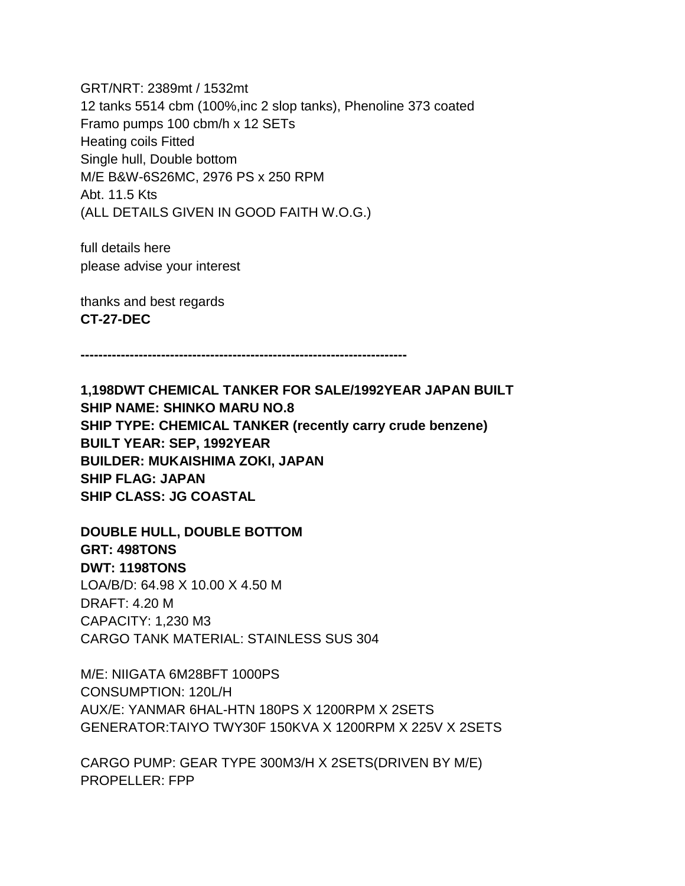GRT/NRT: 2389mt / 1532mt 12 tanks 5514 cbm (100%,inc 2 slop tanks), Phenoline 373 coated Framo pumps 100 cbm/h x 12 SETs Heating coils Fitted Single hull, Double bottom M/E B&W-6S26MC, 2976 PS x 250 RPM Abt. 11.5 Kts (ALL DETAILS GIVEN IN GOOD FAITH W.O.G.)

full details here please advise your interest

thanks and best regards **CT-27-DEC**

**-------------------------------------------------------------------------**

**1,198DWT CHEMICAL TANKER FOR SALE/1992YEAR JAPAN BUILT SHIP NAME: SHINKO MARU NO.8 SHIP TYPE: CHEMICAL TANKER (recently carry crude benzene) BUILT YEAR: SEP, 1992YEAR BUILDER: MUKAISHIMA ZOKI, JAPAN SHIP FLAG: JAPAN SHIP CLASS: JG COASTAL**

**DOUBLE HULL, DOUBLE BOTTOM GRT: 498TONS DWT: 1198TONS** LOA/B/D: 64.98 X 10.00 X 4.50 M DRAFT: 4.20 M CAPACITY: 1,230 M3 CARGO TANK MATERIAL: STAINLESS SUS 304

M/E: NIIGATA 6M28BFT 1000PS CONSUMPTION: 120L/H AUX/E: YANMAR 6HAL-HTN 180PS X 1200RPM X 2SETS GENERATOR:TAIYO TWY30F 150KVA X 1200RPM X 225V X 2SETS

CARGO PUMP: GEAR TYPE 300M3/H X 2SETS(DRIVEN BY M/E) PROPELLER: FPP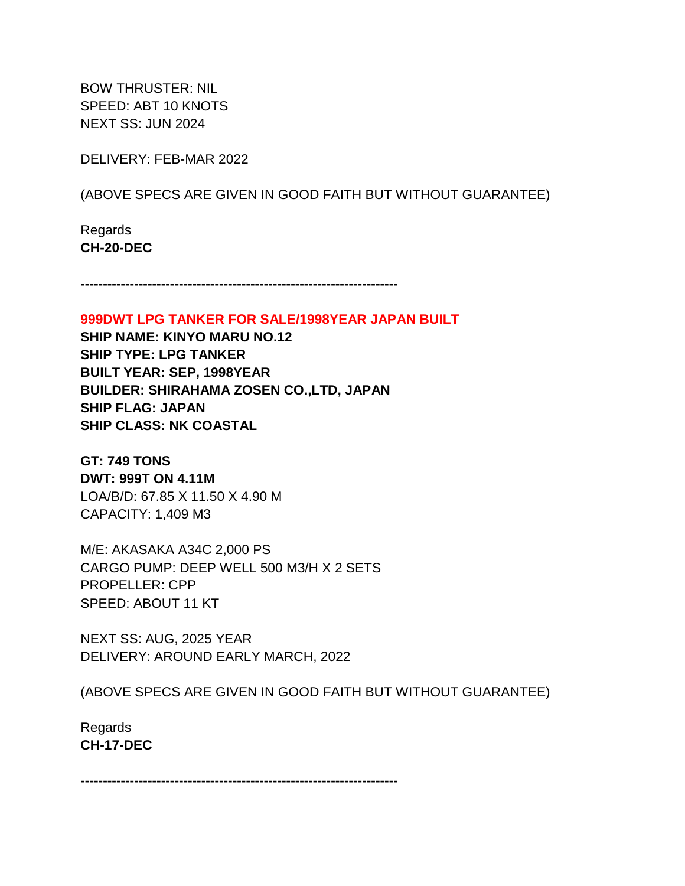BOW THRUSTER: NIL SPEED: ABT 10 KNOTS NEXT SS: JUN 2024

DELIVERY: FEB-MAR 2022

(ABOVE SPECS ARE GIVEN IN GOOD FAITH BUT WITHOUT GUARANTEE)

Regards **CH-20-DEC**

**-----------------------------------------------------------------------**

**999DWT LPG TANKER FOR SALE/1998YEAR JAPAN BUILT**

**SHIP NAME: KINYO MARU NO.12 SHIP TYPE: LPG TANKER BUILT YEAR: SEP, 1998YEAR BUILDER: SHIRAHAMA ZOSEN CO.,LTD, JAPAN SHIP FLAG: JAPAN SHIP CLASS: NK COASTAL**

**GT: 749 TONS DWT: 999T ON 4.11M** LOA/B/D: 67.85 X 11.50 X 4.90 M CAPACITY: 1,409 M3

M/E: AKASAKA A34C 2,000 PS CARGO PUMP: DEEP WELL 500 M3/H X 2 SETS PROPELLER: CPP SPEED: ABOUT 11 KT

NEXT SS: AUG, 2025 YEAR DELIVERY: AROUND EARLY MARCH, 2022

(ABOVE SPECS ARE GIVEN IN GOOD FAITH BUT WITHOUT GUARANTEE)

Regards **CH-17-DEC**

**-----------------------------------------------------------------------**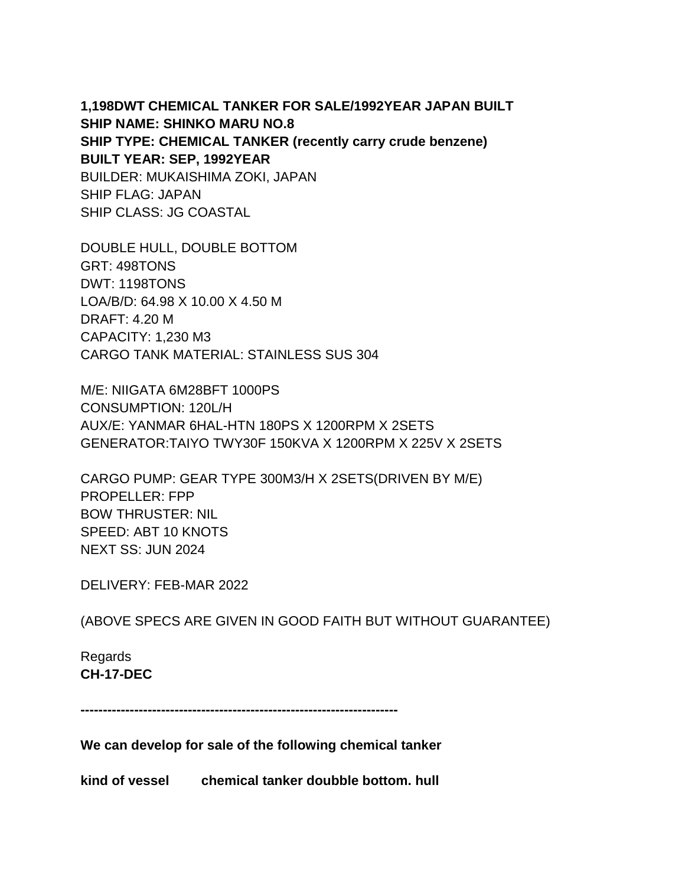**1,198DWT CHEMICAL TANKER FOR SALE/1992YEAR JAPAN BUILT SHIP NAME: SHINKO MARU NO.8 SHIP TYPE: CHEMICAL TANKER (recently carry crude benzene) BUILT YEAR: SEP, 1992YEAR** BUILDER: MUKAISHIMA ZOKI, JAPAN SHIP FLAG: JAPAN SHIP CLASS: JG COASTAL

DOUBLE HULL, DOUBLE BOTTOM GRT: 498TONS DWT: 1198TONS LOA/B/D: 64.98 X 10.00 X 4.50 M DRAFT: 4.20 M CAPACITY: 1,230 M3 CARGO TANK MATERIAL: STAINLESS SUS 304

M/E: NIIGATA 6M28BFT 1000PS CONSUMPTION: 120L/H AUX/E: YANMAR 6HAL-HTN 180PS X 1200RPM X 2SETS GENERATOR:TAIYO TWY30F 150KVA X 1200RPM X 225V X 2SETS

CARGO PUMP: GEAR TYPE 300M3/H X 2SETS(DRIVEN BY M/E) PROPELLER: FPP BOW THRUSTER: NIL SPEED: ABT 10 KNOTS NEXT SS: JUN 2024

DELIVERY: FEB-MAR 2022

(ABOVE SPECS ARE GIVEN IN GOOD FAITH BUT WITHOUT GUARANTEE)

Regards **CH-17-DEC**

**-----------------------------------------------------------------------**

**We can develop for sale of the following chemical tanker**

**kind of vessel chemical tanker doubble bottom. hull**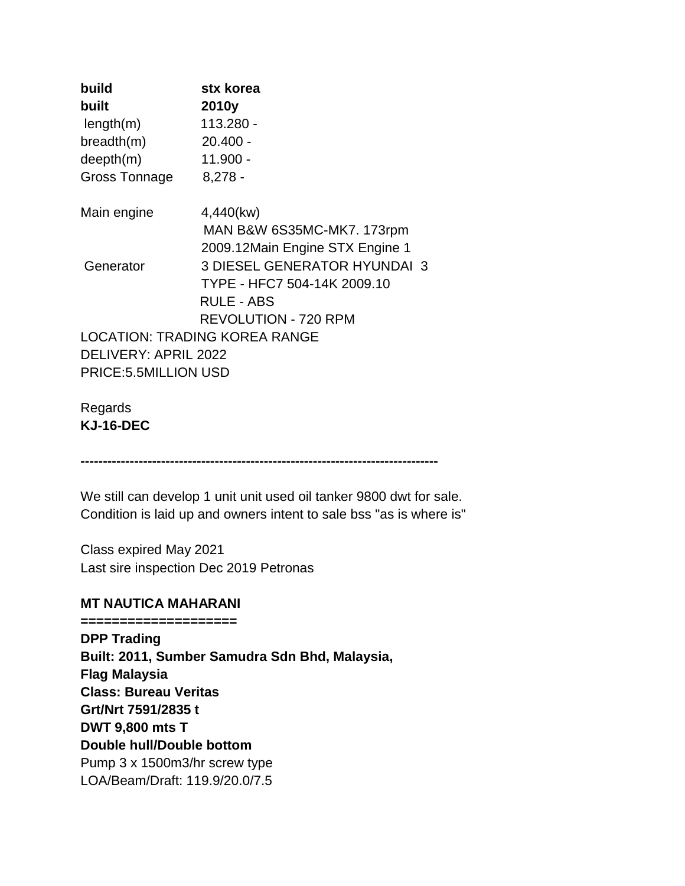| build                 | stx korea                            |
|-----------------------|--------------------------------------|
| built                 | 2010y                                |
| length(m)             | 113.280 -                            |
| breadth(m)            | $20.400 -$                           |
| deepth(m)             | $11.900 -$                           |
| <b>Gross Tonnage</b>  | $8,278 -$                            |
| Main engine           | 4,440(kw)                            |
|                       | MAN B&W 6S35MC-MK7. 173rpm           |
|                       | 2009.12Main Engine STX Engine 1      |
| Generator             | <b>3 DIESEL GENERATOR HYUNDAI 3</b>  |
|                       | TYPE - HFC7 504-14K 2009.10          |
|                       | <b>RULE - ABS</b>                    |
|                       | <b>REVOLUTION - 720 RPM</b>          |
|                       | <b>LOCATION: TRADING KOREA RANGE</b> |
| DELIVERY: APRIL 2022  |                                      |
| PRICE: 5.5MILLION USD |                                      |

Regards **KJ-16-DEC**

**--------------------------------------------------------------------------------**

We still can develop 1 unit unit used oil tanker 9800 dwt for sale. Condition is laid up and owners intent to sale bss "as is where is"

Class expired May 2021 Last sire inspection Dec 2019 Petronas

#### **MT NAUTICA MAHARANI**

**====================**

**DPP Trading Built: 2011, Sumber Samudra Sdn Bhd, Malaysia, Flag Malaysia Class: Bureau Veritas Grt/Nrt 7591/2835 t DWT 9,800 mts T Double hull/Double bottom** Pump 3 x 1500m3/hr screw type LOA/Beam/Draft: 119.9/20.0/7.5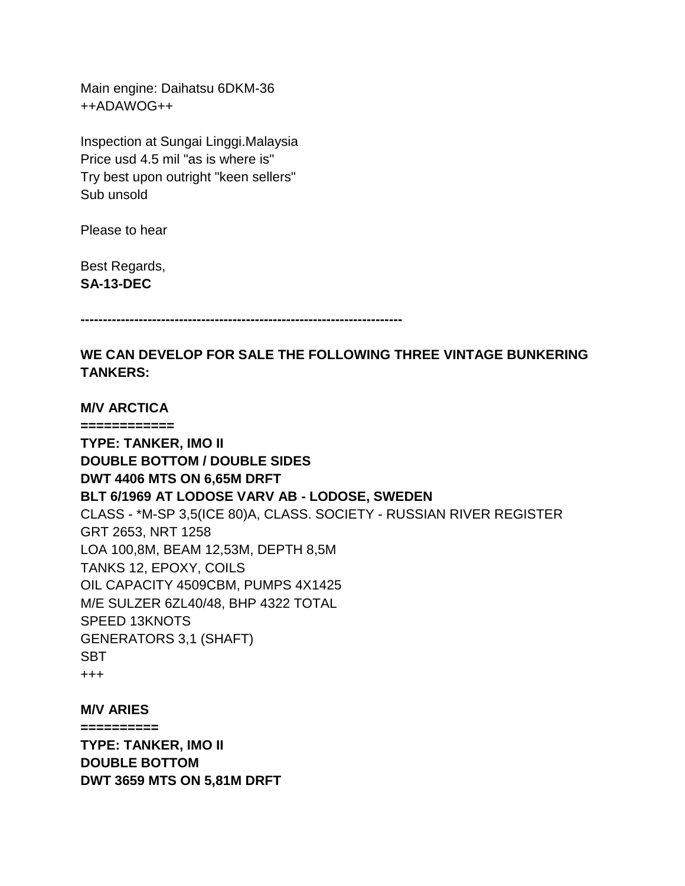Main engine: Daihatsu 6DKM-36 ++ADAWOG++

Inspection at Sungai Linggi.Malaysia Price usd 4.5 mil "as is where is" Try best upon outright "keen sellers" Sub unsold

Please to hear

Best Regards, **SA-13-DEC**

**M/V ARCTICA**

**------------------------------------------------------------------------**

**WE CAN DEVELOP FOR SALE THE FOLLOWING THREE VINTAGE BUNKERING TANKERS:**

**============ TYPE: TANKER, IMO II DOUBLE BOTTOM / DOUBLE SIDES DWT 4406 MTS ON 6,65M DRFT BLT 6/1969 AT LODOSE VARV AB - LODOSE, SWEDEN** CLASS - \*M-SP 3,5(ICE 80)A, CLASS. SOCIETY - RUSSIAN RIVER REGISTER GRT 2653, NRT 1258 LOA 100,8M, BEAM 12,53M, DEPTH 8,5M TANKS 12, EPOXY, COILS OIL CAPACITY 4509CBM, PUMPS 4X1425 M/E SULZER 6ZL40/48, BHP 4322 TOTAL SPEED 13KNOTS GENERATORS 3,1 (SHAFT) SBT +++

**M/V ARIES ========== TYPE: TANKER, IMO II DOUBLE BOTTOM DWT 3659 MTS ON 5,81M DRFT**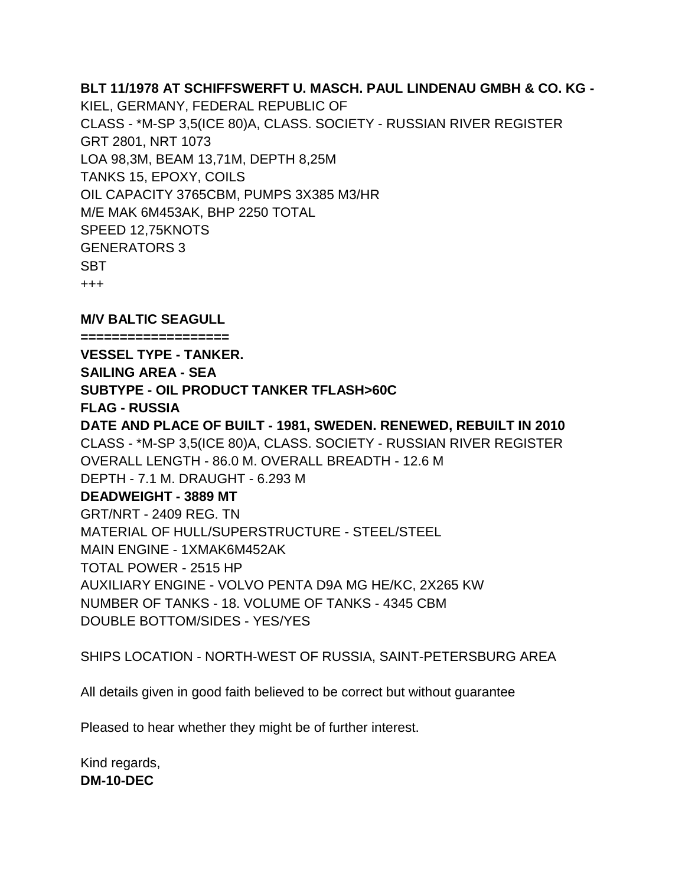**BLT 11/1978 AT SCHIFFSWERFT U. MASCH. PAUL LINDENAU GMBH & CO. KG -** KIEL, GERMANY, FEDERAL REPUBLIC OF CLASS - \*M-SP 3,5(ICE 80)A, CLASS. SOCIETY - RUSSIAN RIVER REGISTER GRT 2801, NRT 1073 LOA 98,3M, BEAM 13,71M, DEPTH 8,25M TANKS 15, EPOXY, COILS OIL CAPACITY 3765CBM, PUMPS 3X385 M3/HR M/E MAK 6M453AK, BHP 2250 TOTAL SPEED 12,75KNOTS GENERATORS 3 SBT +++ **M/V BALTIC SEAGULL**

**=================== VESSEL TYPE - TANKER. SAILING AREA - SEA SUBTYPE - OIL PRODUCT TANKER TFLASH>60C FLAG - RUSSIA DATE AND PLACE OF BUILT - 1981, SWEDEN. RENEWED, REBUILT IN 2010** CLASS - \*M-SP 3,5(ICE 80)A, CLASS. SOCIETY - RUSSIAN RIVER REGISTER OVERALL LENGTH - 86.0 M. OVERALL BREADTH - 12.6 M DEPTH - 7.1 M. DRAUGHT - 6.293 M **DEADWEIGHT - 3889 MT** GRT/NRT - 2409 REG. TN MATERIAL OF HULL/SUPERSTRUCTURE - STEEL/STEEL MAIN ENGINE - 1XMAK6M452AK TOTAL POWER - 2515 HP AUXILIARY ENGINE - VOLVO PENTA D9A MG HE/KC, 2X265 KW NUMBER OF TANKS - 18. VOLUME OF TANKS - 4345 CBM DOUBLE BOTTOM/SIDES - YES/YES

SHIPS LOCATION - NORTH-WEST OF RUSSIA, SAINT-PETERSBURG AREA

All details given in good faith believed to be correct but without guarantee

Pleased to hear whether they might be of further interest.

Kind regards, **DM-10-DEC**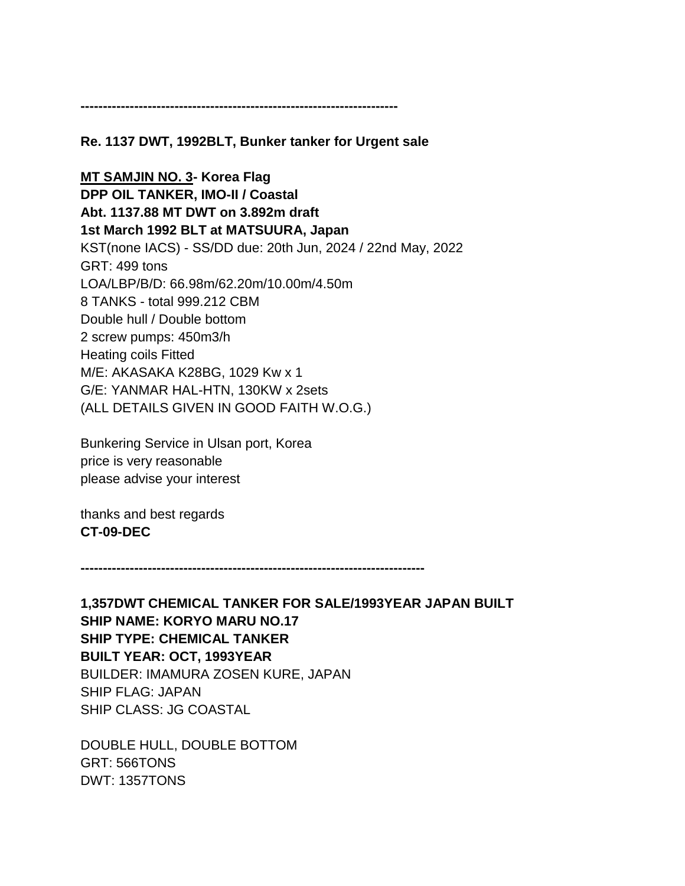**-----------------------------------------------------------------------**

#### **Re. 1137 DWT, 1992BLT, Bunker tanker for Urgent sale**

**MT SAMJIN NO. 3- Korea Flag DPP OIL TANKER, IMO-II / Coastal Abt. 1137.88 MT DWT on 3.892m draft 1st March 1992 BLT at MATSUURA, Japan** KST(none IACS) - SS/DD due: 20th Jun, 2024 / 22nd May, 2022 GRT: 499 tons LOA/LBP/B/D: 66.98m/62.20m/10.00m/4.50m 8 TANKS - total 999.212 CBM Double hull / Double bottom 2 screw pumps: 450m3/h Heating coils Fitted M/E: AKASAKA K28BG, 1029 Kw x 1 G/E: YANMAR HAL-HTN, 130KW x 2sets (ALL DETAILS GIVEN IN GOOD FAITH W.O.G.)

Bunkering Service in Ulsan port, Korea price is very reasonable please advise your interest

thanks and best regards **CT-09-DEC**

**-----------------------------------------------------------------------------**

**1,357DWT CHEMICAL TANKER FOR SALE/1993YEAR JAPAN BUILT SHIP NAME: KORYO MARU NO.17 SHIP TYPE: CHEMICAL TANKER BUILT YEAR: OCT, 1993YEAR** BUILDER: IMAMURA ZOSEN KURE, JAPAN SHIP FLAG: JAPAN SHIP CLASS: JG COASTAL

DOUBLE HULL, DOUBLE BOTTOM GRT: 566TONS DWT: 1357TONS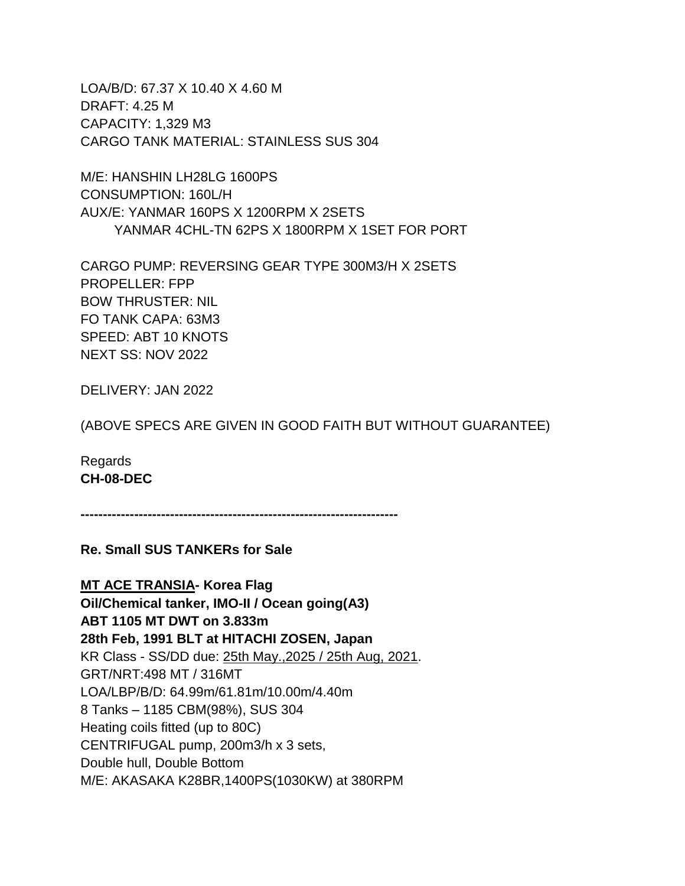LOA/B/D: 67.37 X 10.40 X 4.60 M DRAFT: 4.25 M CAPACITY: 1,329 M3 CARGO TANK MATERIAL: STAINLESS SUS 304

M/E: HANSHIN LH28LG 1600PS CONSUMPTION: 160L/H AUX/E: YANMAR 160PS X 1200RPM X 2SETS YANMAR 4CHL-TN 62PS X 1800RPM X 1SET FOR PORT

CARGO PUMP: REVERSING GEAR TYPE 300M3/H X 2SETS PROPELLER: FPP BOW THRUSTER: NIL FO TANK CAPA: 63M3 SPEED: ABT 10 KNOTS NEXT SS: NOV 2022

DELIVERY: JAN 2022

(ABOVE SPECS ARE GIVEN IN GOOD FAITH BUT WITHOUT GUARANTEE)

Regards **CH-08-DEC**

**-----------------------------------------------------------------------**

**Re. Small SUS TANKERs for Sale**

**MT ACE TRANSIA- Korea Flag Oil/Chemical tanker, IMO-II / Ocean going(A3) ABT 1105 MT DWT on 3.833m 28th Feb, 1991 BLT at HITACHI ZOSEN, Japan** KR Class - SS/DD due: 25th May.,2025 / 25th Aug, 2021. GRT/NRT:498 MT / 316MT LOA/LBP/B/D: 64.99m/61.81m/10.00m/4.40m 8 Tanks – 1185 CBM(98%), SUS 304 Heating coils fitted (up to 80C) CENTRIFUGAL pump, 200m3/h x 3 sets, Double hull, Double Bottom M/E: AKASAKA K28BR,1400PS(1030KW) at 380RPM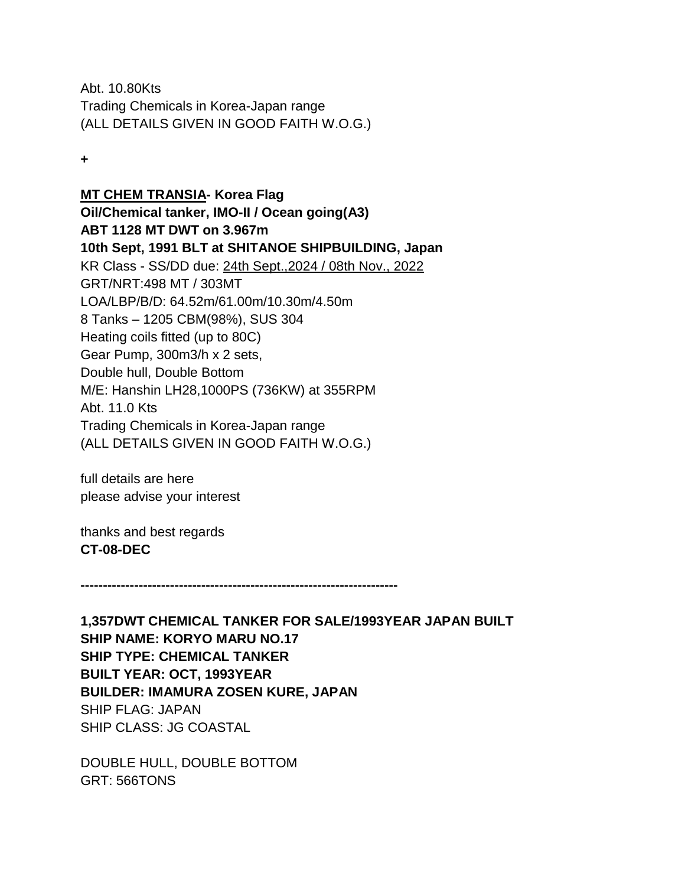Abt. 10.80Kts Trading Chemicals in Korea-Japan range (ALL DETAILS GIVEN IN GOOD FAITH W.O.G.)

**+**

**MT CHEM TRANSIA- Korea Flag Oil/Chemical tanker, IMO-II / Ocean going(A3) ABT 1128 MT DWT on 3.967m 10th Sept, 1991 BLT at SHITANOE SHIPBUILDING, Japan** KR Class - SS/DD due: 24th Sept.,2024 / 08th Nov., 2022 GRT/NRT:498 MT / 303MT LOA/LBP/B/D: 64.52m/61.00m/10.30m/4.50m 8 Tanks – 1205 CBM(98%), SUS 304 Heating coils fitted (up to 80C) Gear Pump, 300m3/h x 2 sets, Double hull, Double Bottom M/E: Hanshin LH28,1000PS (736KW) at 355RPM Abt. 11.0 Kts Trading Chemicals in Korea-Japan range (ALL DETAILS GIVEN IN GOOD FAITH W.O.G.)

full details are here please advise your interest

thanks and best regards **CT-08-DEC**

**-----------------------------------------------------------------------**

**1,357DWT CHEMICAL TANKER FOR SALE/1993YEAR JAPAN BUILT SHIP NAME: KORYO MARU NO.17 SHIP TYPE: CHEMICAL TANKER BUILT YEAR: OCT, 1993YEAR BUILDER: IMAMURA ZOSEN KURE, JAPAN** SHIP FLAG: JAPAN SHIP CLASS: JG COASTAL

DOUBLE HULL, DOUBLE BOTTOM GRT: 566TONS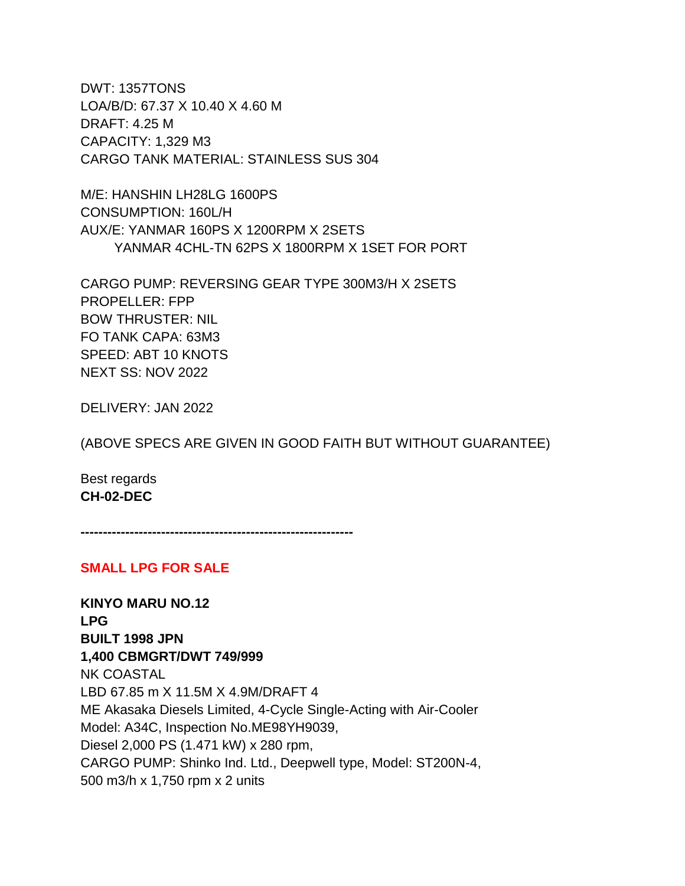DWT: 1357TONS LOA/B/D: 67.37 X 10.40 X 4.60 M DRAFT: 4.25 M CAPACITY: 1,329 M3 CARGO TANK MATERIAL: STAINLESS SUS 304

M/E: HANSHIN LH28LG 1600PS CONSUMPTION: 160L/H AUX/E: YANMAR 160PS X 1200RPM X 2SETS YANMAR 4CHL-TN 62PS X 1800RPM X 1SET FOR PORT

CARGO PUMP: REVERSING GEAR TYPE 300M3/H X 2SETS PROPELLER: FPP BOW THRUSTER: NIL FO TANK CAPA: 63M3 SPEED: ABT 10 KNOTS NEXT SS: NOV 2022

DELIVERY: JAN 2022

(ABOVE SPECS ARE GIVEN IN GOOD FAITH BUT WITHOUT GUARANTEE)

Best regards **CH-02-DEC**

**-------------------------------------------------------------**

### **SMALL LPG FOR SALE**

**KINYO MARU NO.12 LPG BUILT 1998 JPN 1,400 CBMGRT/DWT 749/999**  NK COASTAL LBD 67.85 m X 11.5M X 4.9M/DRAFT 4 ME Akasaka Diesels Limited, 4-Cycle Single-Acting with Air-Cooler Model: A34C, Inspection No.ME98YH9039, Diesel 2,000 PS (1.471 kW) x 280 rpm, CARGO PUMP: Shinko Ind. Ltd., Deepwell type, Model: ST200N-4, 500 m3/h x 1,750 rpm x 2 units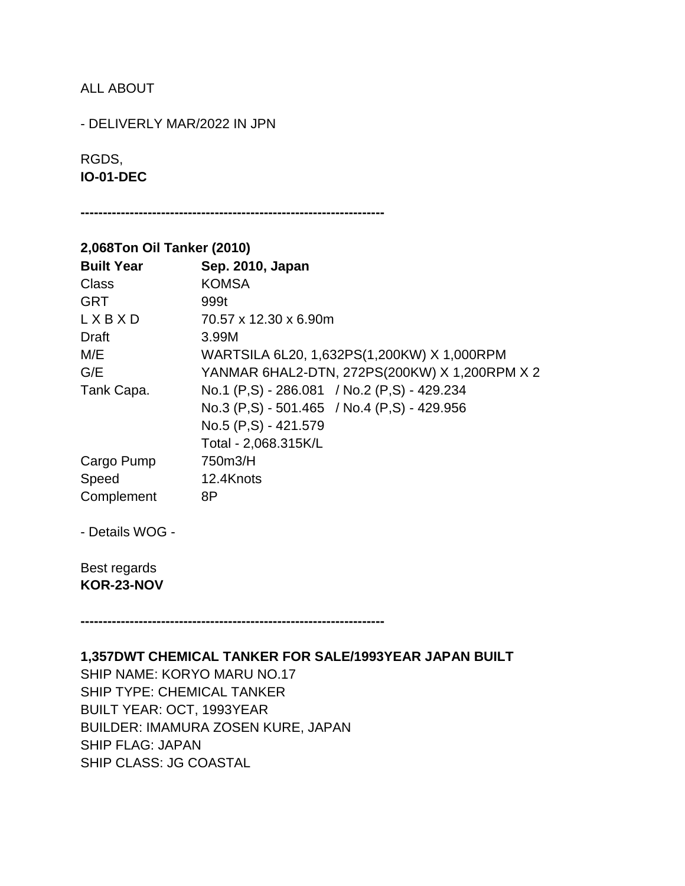# ALL ABOUT

- DELIVERLY MAR/2022 IN JPN

# RGDS, **IO-01-DEC**

**--------------------------------------------------------------------**

# **2,068Ton Oil Tanker (2010)**

| <b>Built Year</b> | Sep. 2010, Japan                              |
|-------------------|-----------------------------------------------|
| Class             | <b>KOMSA</b>                                  |
| <b>GRT</b>        | 999t                                          |
| LXBXD             | 70.57 x 12.30 x 6.90m                         |
| Draft             | 3.99M                                         |
| M/E               | WARTSILA 6L20, 1,632PS(1,200KW) X 1,000RPM    |
| G/E               | YANMAR 6HAL2-DTN, 272PS(200KW) X 1,200RPM X 2 |
| Tank Capa.        | No.1 (P,S) - 286.081 / No.2 (P,S) - 429.234   |
|                   | No.3 (P,S) - 501.465 / No.4 (P,S) - 429.956   |
|                   | No.5 (P,S) - 421.579                          |
|                   | Total - 2,068.315K/L                          |
| Cargo Pump        | 750m3/H                                       |
| Speed             | 12.4Knots                                     |
| Complement        | 8P                                            |

- Details WOG -

Best regards **KOR-23-NOV**

**--------------------------------------------------------------------**

**1,357DWT CHEMICAL TANKER FOR SALE/1993YEAR JAPAN BUILT** SHIP NAME: KORYO MARU NO.17 SHIP TYPE: CHEMICAL TANKER BUILT YEAR: OCT, 1993YEAR BUILDER: IMAMURA ZOSEN KURE, JAPAN SHIP FLAG: JAPAN SHIP CLASS: JG COASTAL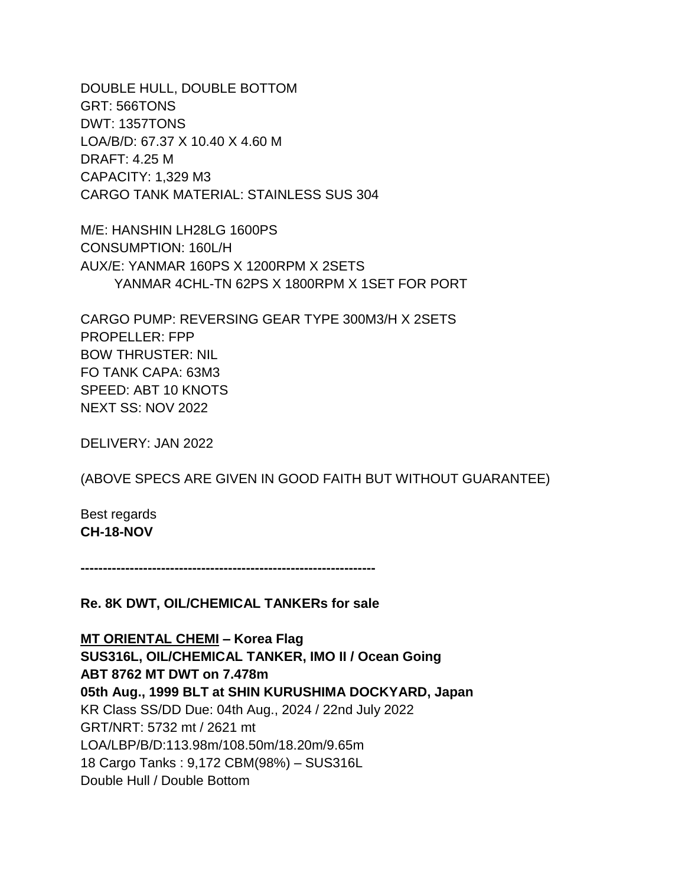DOUBLE HULL, DOUBLE BOTTOM GRT: 566TONS DWT: 1357TONS LOA/B/D: 67.37 X 10.40 X 4.60 M DRAFT: 4.25 M CAPACITY: 1,329 M3 CARGO TANK MATERIAL: STAINLESS SUS 304

M/E: HANSHIN LH28LG 1600PS CONSUMPTION: 160L/H AUX/E: YANMAR 160PS X 1200RPM X 2SETS YANMAR 4CHL-TN 62PS X 1800RPM X 1SET FOR PORT

CARGO PUMP: REVERSING GEAR TYPE 300M3/H X 2SETS PROPELLER: FPP BOW THRUSTER: NIL FO TANK CAPA: 63M3 SPEED: ABT 10 KNOTS NEXT SS: NOV 2022

DELIVERY: JAN 2022

(ABOVE SPECS ARE GIVEN IN GOOD FAITH BUT WITHOUT GUARANTEE)

Best regards **CH-18-NOV**

**------------------------------------------------------------------**

**Re. 8K DWT, OIL/CHEMICAL TANKERs for sale**

**MT ORIENTAL CHEMI – Korea Flag SUS316L, OIL/CHEMICAL TANKER, IMO II / Ocean Going ABT 8762 MT DWT on 7.478m 05th Aug., 1999 BLT at SHIN KURUSHIMA DOCKYARD, Japan** KR Class SS/DD Due: 04th Aug., 2024 / 22nd July 2022 GRT/NRT: 5732 mt / 2621 mt LOA/LBP/B/D:113.98m/108.50m/18.20m/9.65m 18 Cargo Tanks : 9,172 CBM(98%) – SUS316L Double Hull / Double Bottom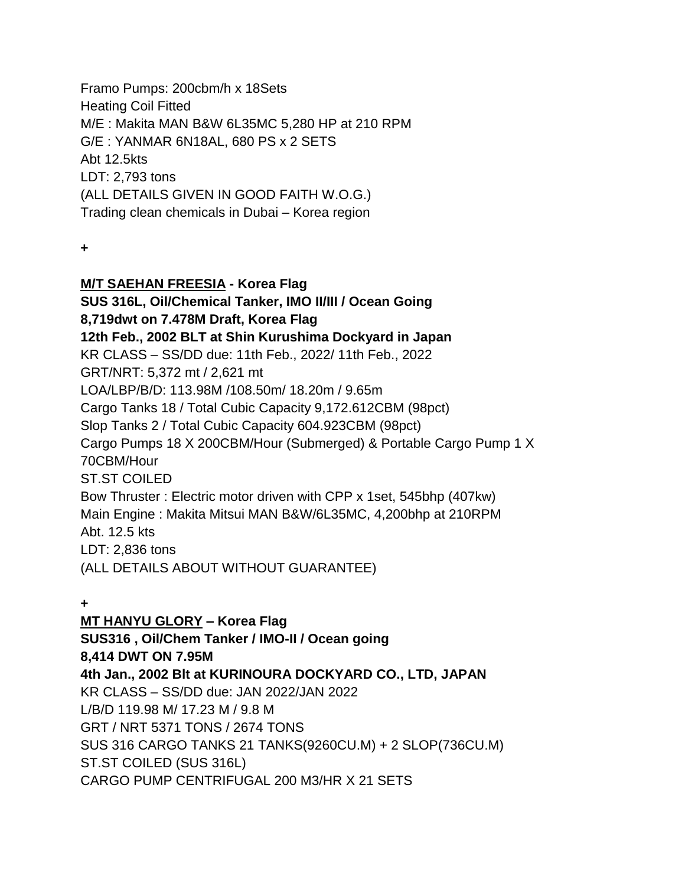Framo Pumps: 200cbm/h x 18Sets Heating Coil Fitted M/E : Makita MAN B&W 6L35MC 5,280 HP at 210 RPM G/E : YANMAR 6N18AL, 680 PS x 2 SETS Abt 12.5kts LDT: 2,793 tons (ALL DETAILS GIVEN IN GOOD FAITH W.O.G.) Trading clean chemicals in Dubai – Korea region

**+**

**M/T SAEHAN FREESIA - Korea Flag SUS 316L, Oil/Chemical Tanker, IMO II/III / Ocean Going 8,719dwt on 7.478M Draft, Korea Flag 12th Feb., 2002 BLT at Shin Kurushima Dockyard in Japan** KR CLASS – SS/DD due: 11th Feb., 2022/ 11th Feb., 2022 GRT/NRT: 5,372 mt / 2,621 mt LOA/LBP/B/D: 113.98M /108.50m/ 18.20m / 9.65m Cargo Tanks 18 / Total Cubic Capacity 9,172.612CBM (98pct) Slop Tanks 2 / Total Cubic Capacity 604.923CBM (98pct) Cargo Pumps 18 X 200CBM/Hour (Submerged) & Portable Cargo Pump 1 X 70CBM/Hour ST.ST COILED Bow Thruster : Electric motor driven with CPP x 1set, 545bhp (407kw) Main Engine : Makita Mitsui MAN B&W/6L35MC, 4,200bhp at 210RPM Abt. 12.5 kts LDT: 2,836 tons (ALL DETAILS ABOUT WITHOUT GUARANTEE)

**+**

**MT HANYU GLORY – Korea Flag SUS316 , Oil/Chem Tanker / IMO-II / Ocean going 8,414 DWT ON 7.95M 4th Jan., 2002 Blt at KURINOURA DOCKYARD CO., LTD, JAPAN** KR CLASS – SS/DD due: JAN 2022/JAN 2022 L/B/D 119.98 M/ 17.23 M / 9.8 M GRT / NRT 5371 TONS / 2674 TONS SUS 316 CARGO TANKS 21 TANKS(9260CU.M) + 2 SLOP(736CU.M) ST.ST COILED (SUS 316L) CARGO PUMP CENTRIFUGAL 200 M3/HR X 21 SETS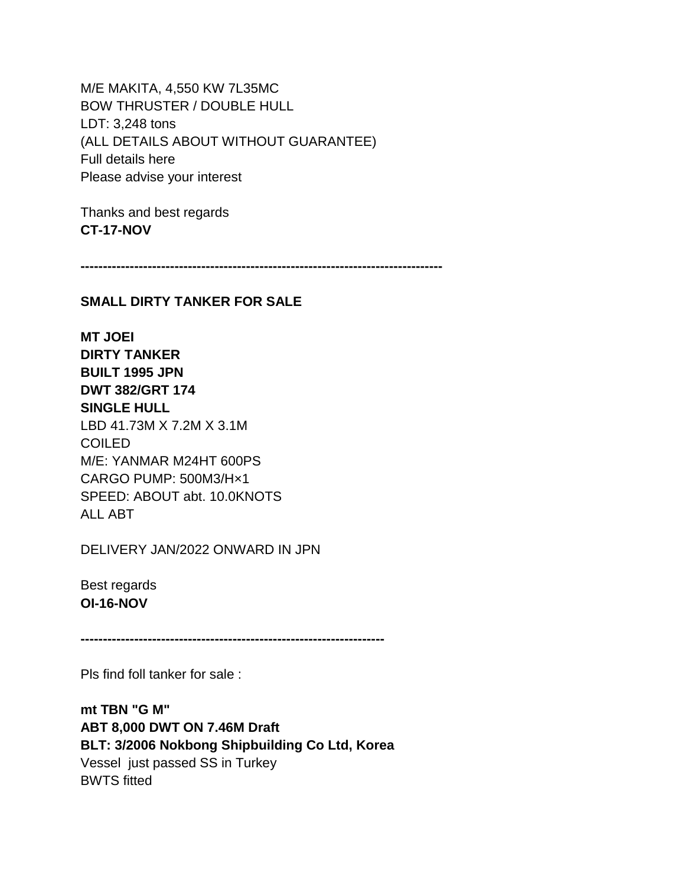M/E MAKITA, 4,550 KW 7L35MC BOW THRUSTER / DOUBLE HULL LDT: 3,248 tons (ALL DETAILS ABOUT WITHOUT GUARANTEE) Full details here Please advise your interest

Thanks and best regards **CT-17-NOV**

**---------------------------------------------------------------------------------**

#### **SMALL DIRTY TANKER FOR SALE**

**MT JOEI DIRTY TANKER BUILT 1995 JPN DWT 382/GRT 174 SINGLE HULL** LBD 41.73M X 7.2M X 3.1M COILED M/E: YANMAR M24HT 600PS CARGO PUMP: 500M3/H×1 SPEED: ABOUT abt. 10.0KNOTS ALL ABT

DELIVERY JAN/2022 ONWARD IN JPN

Best regards **OI-16-NOV**

**--------------------------------------------------------------------**

Pls find foll tanker for sale :

**mt TBN "G M" ABT 8,000 DWT ON 7.46M Draft BLT: 3/2006 Nokbong Shipbuilding Co Ltd, Korea** Vessel just passed SS in Turkey BWTS fitted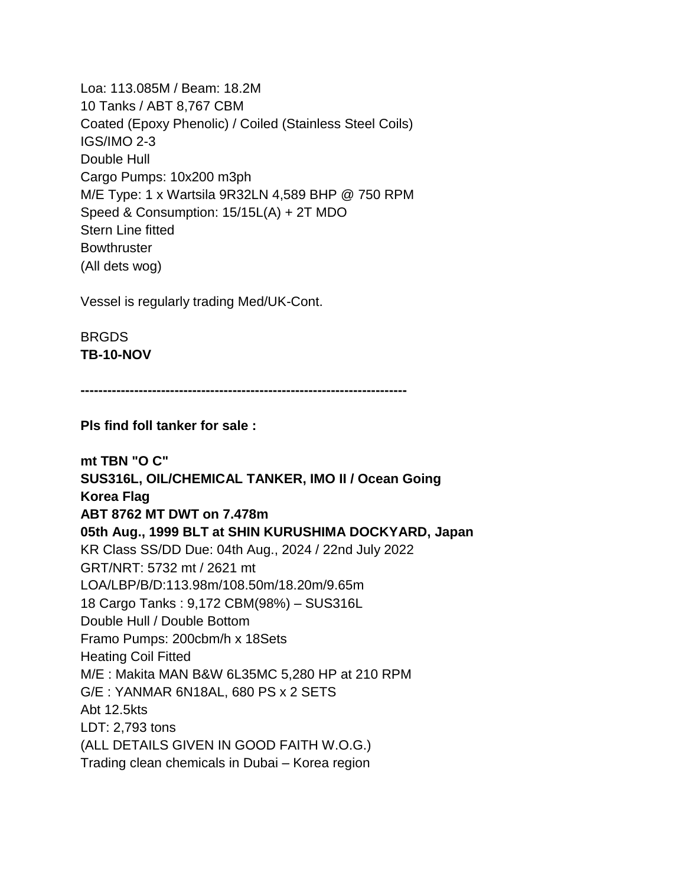Loa: 113.085M / Beam: 18.2M 10 Tanks / ABT 8,767 CBM Coated (Epoxy Phenolic) / Coiled (Stainless Steel Coils) IGS/IMO 2-3 Double Hull Cargo Pumps: 10x200 m3ph M/E Type: 1 x Wartsila 9R32LN 4,589 BHP @ 750 RPM Speed & Consumption: 15/15L(A) + 2T MDO Stern Line fitted **Bowthruster** (All dets wog)

Vessel is regularly trading Med/UK-Cont.

BRGDS **TB-10-NOV**

**-------------------------------------------------------------------------**

**Pls find foll tanker for sale :**

**mt TBN "O C" SUS316L, OIL/CHEMICAL TANKER, IMO II / Ocean Going Korea Flag ABT 8762 MT DWT on 7.478m 05th Aug., 1999 BLT at SHIN KURUSHIMA DOCKYARD, Japan** KR Class SS/DD Due: 04th Aug., 2024 / 22nd July 2022 GRT/NRT: 5732 mt / 2621 mt LOA/LBP/B/D:113.98m/108.50m/18.20m/9.65m 18 Cargo Tanks : 9,172 CBM(98%) – SUS316L Double Hull / Double Bottom Framo Pumps: 200cbm/h x 18Sets Heating Coil Fitted M/E : Makita MAN B&W 6L35MC 5,280 HP at 210 RPM G/E : YANMAR 6N18AL, 680 PS x 2 SETS Abt 12.5kts LDT: 2,793 tons (ALL DETAILS GIVEN IN GOOD FAITH W.O.G.) Trading clean chemicals in Dubai – Korea region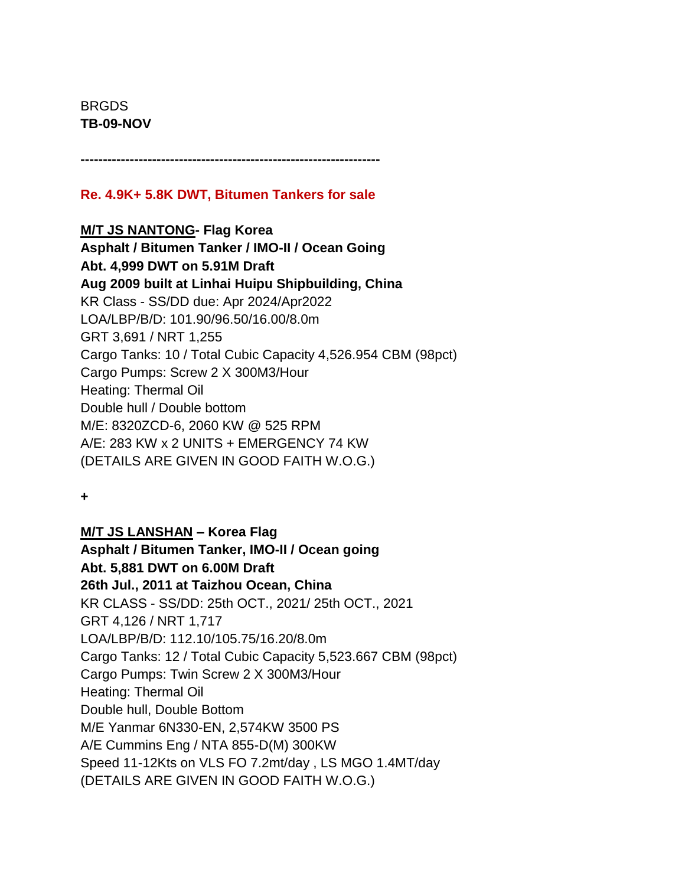BRGDS **TB-09-NOV**

**-------------------------------------------------------------------**

# **Re. 4.9K+ 5.8K DWT, Bitumen Tankers for sale**

### **M/T JS NANTONG- Flag Korea**

**Asphalt / Bitumen Tanker / IMO-II / Ocean Going Abt. 4,999 DWT on 5.91M Draft Aug 2009 built at Linhai Huipu Shipbuilding, China** KR Class - SS/DD due: Apr 2024/Apr2022 LOA/LBP/B/D: 101.90/96.50/16.00/8.0m GRT 3,691 / NRT 1,255 Cargo Tanks: 10 / Total Cubic Capacity 4,526.954 CBM (98pct) Cargo Pumps: Screw 2 X 300M3/Hour Heating: Thermal Oil Double hull / Double bottom M/E: 8320ZCD-6, 2060 KW @ 525 RPM A/E: 283 KW x 2 UNITS + EMERGENCY 74 KW (DETAILS ARE GIVEN IN GOOD FAITH W.O.G.)

**+**

### **M/T JS LANSHAN – Korea Flag**

**Asphalt / Bitumen Tanker, IMO-II / Ocean going Abt. 5,881 DWT on 6.00M Draft 26th Jul., 2011 at Taizhou Ocean, China** KR CLASS - SS/DD: 25th OCT., 2021/ 25th OCT., 2021 GRT 4,126 / NRT 1,717 LOA/LBP/B/D: 112.10/105.75/16.20/8.0m Cargo Tanks: 12 / Total Cubic Capacity 5,523.667 CBM (98pct) Cargo Pumps: Twin Screw 2 X 300M3/Hour Heating: Thermal Oil Double hull, Double Bottom M/E Yanmar 6N330-EN, 2,574KW 3500 PS A/E Cummins Eng / NTA 855-D(M) 300KW Speed 11-12Kts on VLS FO 7.2mt/day , LS MGO 1.4MT/day (DETAILS ARE GIVEN IN GOOD FAITH W.O.G.)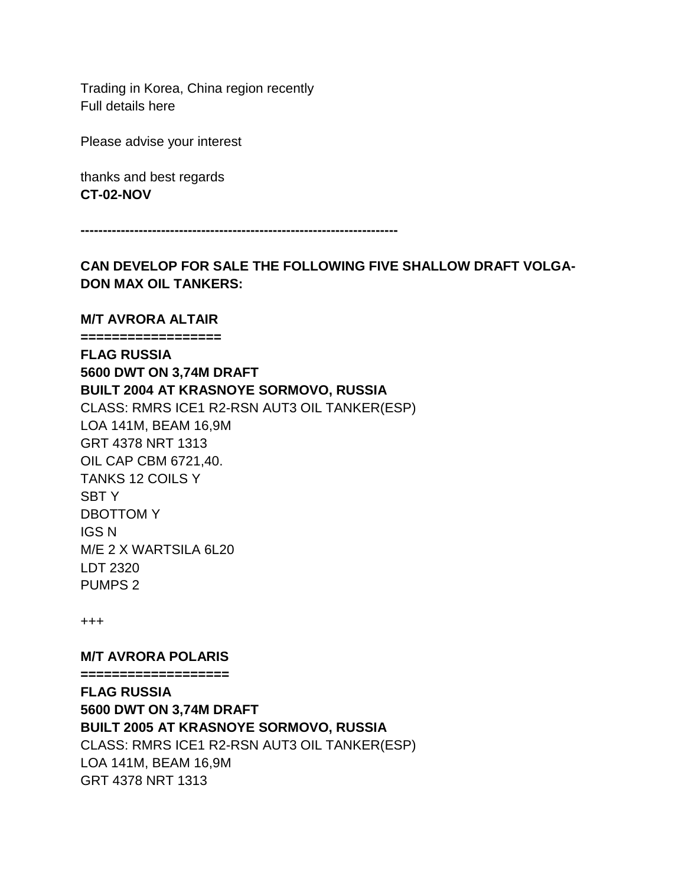Trading in Korea, China region recently Full details here

Please advise your interest

thanks and best regards **CT-02-NOV**

**-----------------------------------------------------------------------**

**CAN DEVELOP FOR SALE THE FOLLOWING FIVE SHALLOW DRAFT VOLGA-DON MAX OIL TANKERS:**

#### **M/T AVRORA ALTAIR**

**================== FLAG RUSSIA 5600 DWT ON 3,74M DRAFT BUILT 2004 AT KRASNOYE SORMOVO, RUSSIA** CLASS: RMRS ICE1 R2-RSN AUT3 OIL TANKER(ESP) LOA 141M, BEAM 16,9M GRT 4378 NRT 1313 OIL CAP CBM 6721,40. TANKS 12 COILS Y SBT Y DBOTTOM Y IGS N M/E 2 X WARTSILA 6L20 LDT 2320 PUMPS 2

+++

**M/T AVRORA POLARIS**

**===================**

**FLAG RUSSIA 5600 DWT ON 3,74M DRAFT BUILT 2005 AT KRASNOYE SORMOVO, RUSSIA** CLASS: RMRS ICE1 R2-RSN AUT3 OIL TANKER(ESP) LOA 141M, BEAM 16,9M GRT 4378 NRT 1313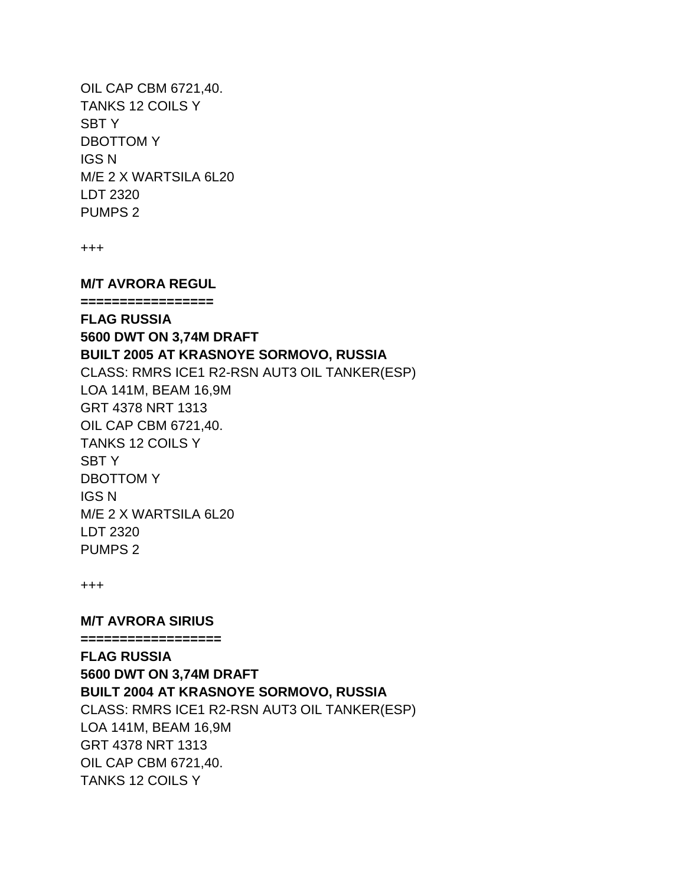OIL CAP CBM 6721,40. TANKS 12 COILS Y SBT Y DBOTTOM Y IGS N M/E 2 X WARTSILA 6L20 LDT 2320 PUMPS 2

+++

**M/T AVRORA REGUL**

**=================**

**FLAG RUSSIA 5600 DWT ON 3,74M DRAFT BUILT 2005 AT KRASNOYE SORMOVO, RUSSIA** CLASS: RMRS ICE1 R2-RSN AUT3 OIL TANKER(ESP) LOA 141M, BEAM 16,9M GRT 4378 NRT 1313 OIL CAP CBM 6721,40. TANKS 12 COILS Y SBT Y DBOTTOM Y IGS N M/E 2 X WARTSILA 6L20 LDT 2320 PUMPS 2

+++

**M/T AVRORA SIRIUS ==================**

**FLAG RUSSIA 5600 DWT ON 3,74M DRAFT BUILT 2004 AT KRASNOYE SORMOVO, RUSSIA** CLASS: RMRS ICE1 R2-RSN AUT3 OIL TANKER(ESP) LOA 141M, BEAM 16,9M GRT 4378 NRT 1313 OIL CAP CBM 6721,40. TANKS 12 COILS Y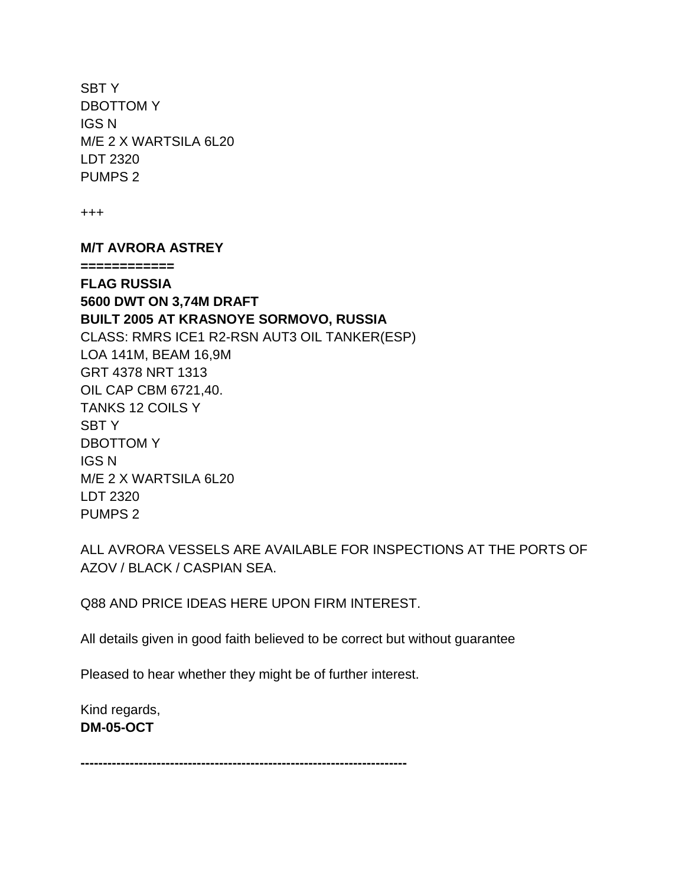SBT Y DBOTTOM Y IGS N M/E 2 X WARTSILA 6L20 LDT 2320 PUMPS 2

+++

#### **M/T AVRORA ASTREY**

**============**

**FLAG RUSSIA 5600 DWT ON 3,74M DRAFT BUILT 2005 AT KRASNOYE SORMOVO, RUSSIA** CLASS: RMRS ICE1 R2-RSN AUT3 OIL TANKER(ESP) LOA 141M, BEAM 16,9M GRT 4378 NRT 1313 OIL CAP CBM 6721,40. TANKS 12 COILS Y SBT Y DBOTTOM Y IGS N M/E 2 X WARTSILA 6L20 LDT 2320 PUMPS 2

ALL AVRORA VESSELS ARE AVAILABLE FOR INSPECTIONS AT THE PORTS OF AZOV / BLACK / CASPIAN SEA.

Q88 AND PRICE IDEAS HERE UPON FIRM INTEREST.

All details given in good faith believed to be correct but without guarantee

Pleased to hear whether they might be of further interest.

Kind regards, **DM-05-OCT**

**-------------------------------------------------------------------------**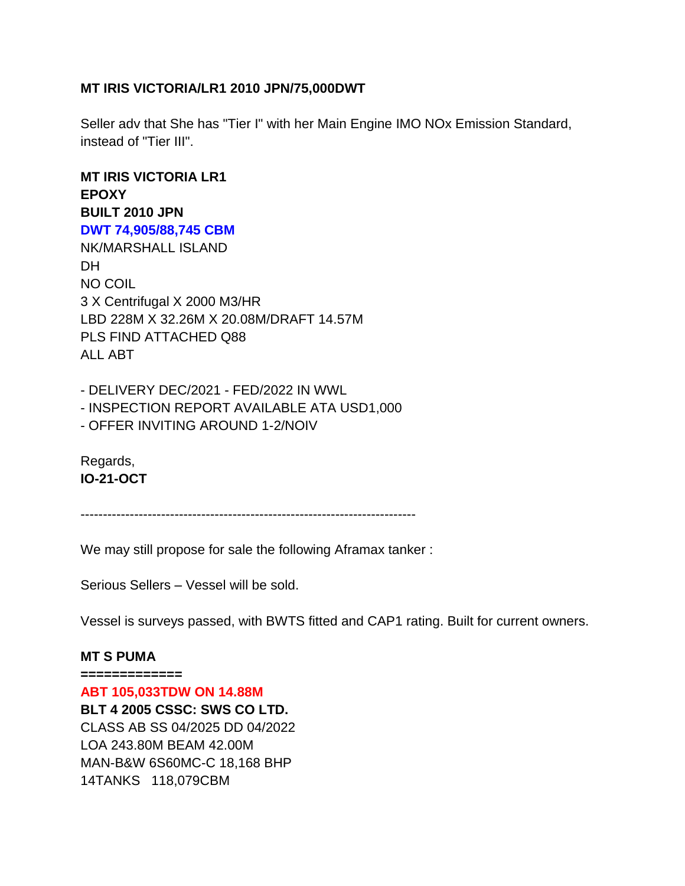### **MT IRIS VICTORIA/LR1 2010 JPN/75,000DWT**

Seller adv that She has "Tier I" with her Main Engine IMO NOx Emission Standard, instead of "Tier III".

**MT IRIS VICTORIA LR1 EPOXY BUILT 2010 JPN DWT 74,905/88,745 CBM** NK/MARSHALL ISLAND **DH** NO COIL 3 X Centrifugal X 2000 M3/HR LBD 228M X 32.26M X 20.08M/DRAFT 14.57M PLS FIND ATTACHED Q88 ALL ABT

- DELIVERY DEC/2021 - FED/2022 IN WWL - INSPECTION REPORT AVAILABLE ATA USD1,000 - OFFER INVITING AROUND 1-2/NOIV

Regards, **IO-21-OCT**

---------------------------------------------------------------------------

We may still propose for sale the following Aframax tanker :

Serious Sellers – Vessel will be sold.

Vessel is surveys passed, with BWTS fitted and CAP1 rating. Built for current owners.

#### **MT S PUMA**

**============= ABT 105,033TDW ON 14.88M BLT 4 2005 CSSC: SWS CO LTD.** CLASS AB SS 04/2025 DD 04/2022 LOA 243.80M BEAM 42.00M MAN-B&W 6S60MC-C 18,168 BHP 14TANKS 118,079CBM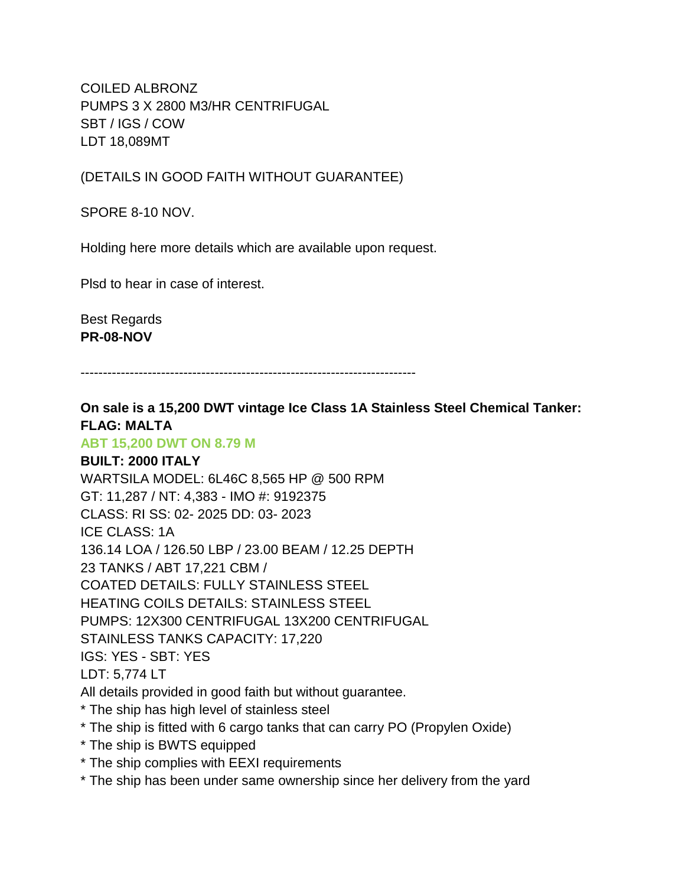COILED ALBRONZ PUMPS 3 X 2800 M3/HR CENTRIFUGAL SBT / IGS / COW LDT 18,089MT

(DETAILS IN GOOD FAITH WITHOUT GUARANTEE)

SPORE 8-10 NOV.

Holding here more details which are available upon request.

Plsd to hear in case of interest.

Best Regards **PR-08-NOV**

---------------------------------------------------------------------------

# **On sale is a 15,200 DWT vintage Ice Class 1A Stainless Steel Chemical Tanker: FLAG: MALTA**

### **ABT 15,200 DWT ON 8.79 M**

**BUILT: 2000 ITALY** WARTSILA MODEL: 6L46C 8,565 HP @ 500 RPM GT: 11,287 / NT: 4,383 - IMO #: 9192375 CLASS: RI SS: 02- 2025 DD: 03- 2023 ICE CLASS: 1A 136.14 LOA / 126.50 LBP / 23.00 BEAM / 12.25 DEPTH 23 TANKS / ABT 17,221 CBM / COATED DETAILS: FULLY STAINLESS STEEL HEATING COILS DETAILS: STAINLESS STEEL PUMPS: 12X300 CENTRIFUGAL 13X200 CENTRIFUGAL STAINLESS TANKS CAPACITY: 17,220 IGS: YES - SBT: YES LDT: 5,774 LT All details provided in good faith but without guarantee. \* The ship has high level of stainless steel

- \* The ship is fitted with 6 cargo tanks that can carry PO (Propylen Oxide)
- \* The ship is BWTS equipped
- \* The ship complies with EEXI requirements
- \* The ship has been under same ownership since her delivery from the yard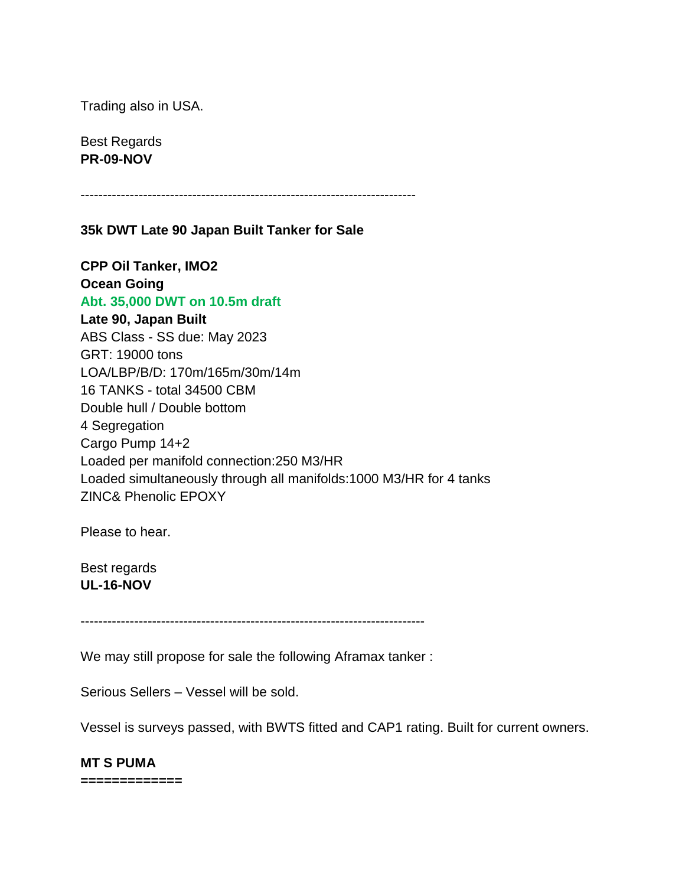Trading also in USA.

Best Regards **PR-09-NOV**

---------------------------------------------------------------------------

#### **35k DWT Late 90 Japan Built Tanker for Sale**

**CPP Oil Tanker, IMO2 Ocean Going Abt. 35,000 DWT on 10.5m draft Late 90, Japan Built** ABS Class - SS due: May 2023 GRT: 19000 tons LOA/LBP/B/D: 170m/165m/30m/14m 16 TANKS - total 34500 CBM Double hull / Double bottom 4 Segregation Cargo Pump 14+2 Loaded per manifold connection:250 M3/HR Loaded simultaneously through all manifolds:1000 M3/HR for 4 tanks ZINC& Phenolic EPOXY

Please to hear.

Best regards **UL-16-NOV**

-----------------------------------------------------------------------------

We may still propose for sale the following Aframax tanker :

Serious Sellers – Vessel will be sold.

Vessel is surveys passed, with BWTS fitted and CAP1 rating. Built for current owners.

#### **MT S PUMA**

**=============**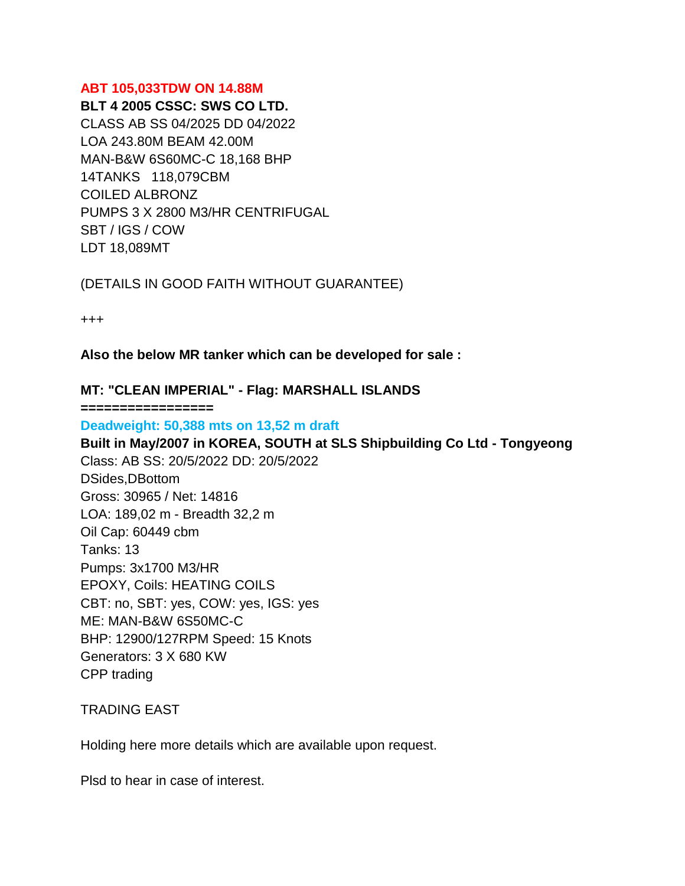#### **ABT 105,033TDW ON 14.88M**

**BLT 4 2005 CSSC: SWS CO LTD.** CLASS AB SS 04/2025 DD 04/2022 LOA 243.80M BEAM 42.00M MAN-B&W 6S60MC-C 18,168 BHP 14TANKS 118,079CBM COILED ALBRONZ PUMPS 3 X 2800 M3/HR CENTRIFUGAL SBT / IGS / COW LDT 18,089MT

(DETAILS IN GOOD FAITH WITHOUT GUARANTEE)

+++

**Also the below MR tanker which can be developed for sale :** 

### **MT: "CLEAN IMPERIAL" - Flag: MARSHALL ISLANDS**

**=================**

**Deadweight: 50,388 mts on 13,52 m draft Built in May/2007 in KOREA, SOUTH at SLS Shipbuilding Co Ltd - Tongyeong** Class: AB SS: 20/5/2022 DD: 20/5/2022 DSides,DBottom Gross: 30965 / Net: 14816 LOA: 189,02 m - Breadth 32,2 m Oil Cap: 60449 cbm Tanks: 13 Pumps: 3x1700 M3/HR EPOXY, Coils: HEATING COILS CBT: no, SBT: yes, COW: yes, IGS: yes ME: MAN-B&W 6S50MC-C BHP: 12900/127RPM Speed: 15 Knots Generators: 3 X 680 KW CPP trading

TRADING EAST

Holding here more details which are available upon request.

Plsd to hear in case of interest.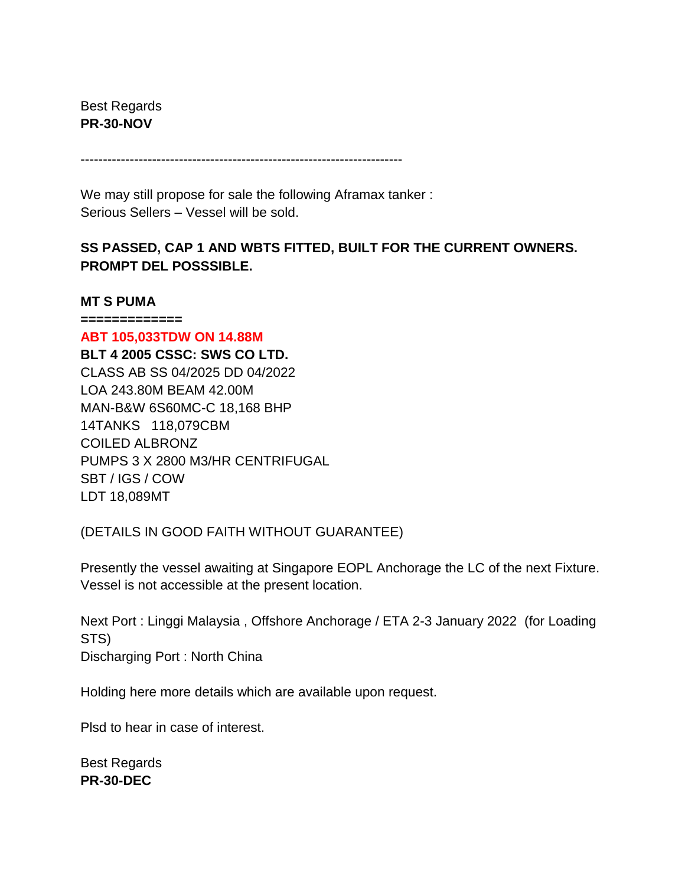Best Regards **PR-30-NOV**

------------------------------------------------------------------------

We may still propose for sale the following Aframax tanker : Serious Sellers – Vessel will be sold.

# **SS PASSED, CAP 1 AND WBTS FITTED, BUILT FOR THE CURRENT OWNERS. PROMPT DEL POSSSIBLE.**

#### **MT S PUMA**

**=============**

**ABT 105,033TDW ON 14.88M BLT 4 2005 CSSC: SWS CO LTD.** CLASS AB SS 04/2025 DD 04/2022 LOA 243.80M BEAM 42.00M MAN-B&W 6S60MC-C 18,168 BHP 14TANKS 118,079CBM COILED ALBRONZ PUMPS 3 X 2800 M3/HR CENTRIFUGAL SBT / IGS / COW LDT 18,089MT

(DETAILS IN GOOD FAITH WITHOUT GUARANTEE)

Presently the vessel awaiting at Singapore EOPL Anchorage the LC of the next Fixture. Vessel is not accessible at the present location.

Next Port : Linggi Malaysia , Offshore Anchorage / ETA 2-3 January 2022 (for Loading STS) Discharging Port : North China

Holding here more details which are available upon request.

Plsd to hear in case of interest.

Best Regards **PR-30-DEC**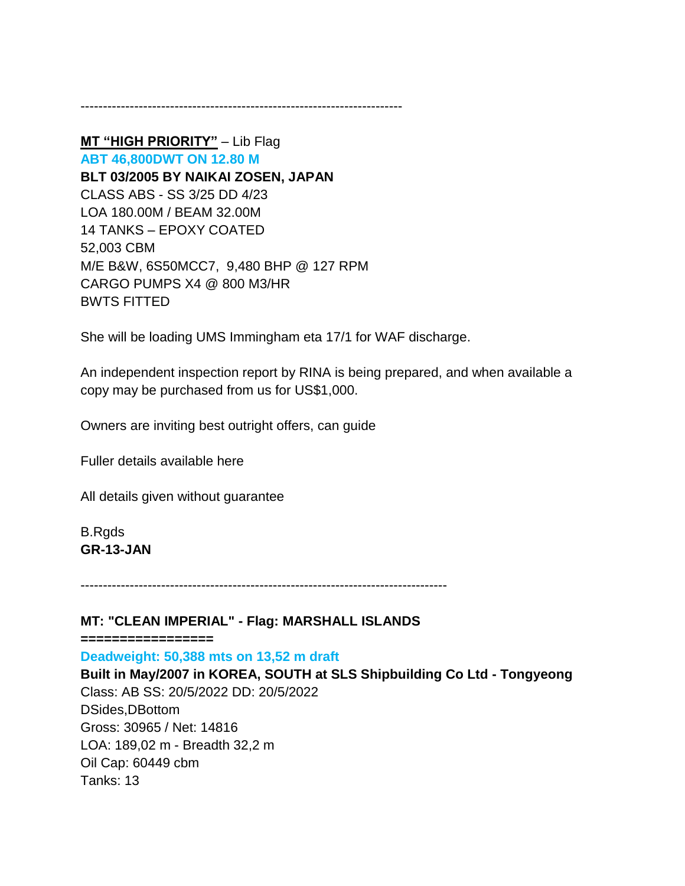------------------------------------------------------------------------

**MT "HIGH PRIORITY"** – Lib Flag **ABT 46,800DWT ON 12.80 M BLT 03/2005 BY NAIKAI ZOSEN, JAPAN** CLASS ABS - SS 3/25 DD 4/23 LOA 180.00M / BEAM 32.00M 14 TANKS – EPOXY COATED 52,003 CBM M/E B&W, 6S50MCC7, 9,480 BHP @ 127 RPM CARGO PUMPS X4 @ 800 M3/HR BWTS FITTED

She will be loading UMS Immingham eta 17/1 for WAF discharge.

An independent inspection report by RINA is being prepared, and when available a copy may be purchased from us for US\$1,000.

Owners are inviting best outright offers, can guide

Fuller details available here

All details given without guarantee

B.Rgds **GR-13-JAN**

----------------------------------------------------------------------------------

#### **MT: "CLEAN IMPERIAL" - Flag: MARSHALL ISLANDS**

**=================**

**Deadweight: 50,388 mts on 13,52 m draft**

**Built in May/2007 in KOREA, SOUTH at SLS Shipbuilding Co Ltd - Tongyeong** Class: AB SS: 20/5/2022 DD: 20/5/2022 DSides,DBottom Gross: 30965 / Net: 14816 LOA: 189,02 m - Breadth 32,2 m Oil Cap: 60449 cbm Tanks: 13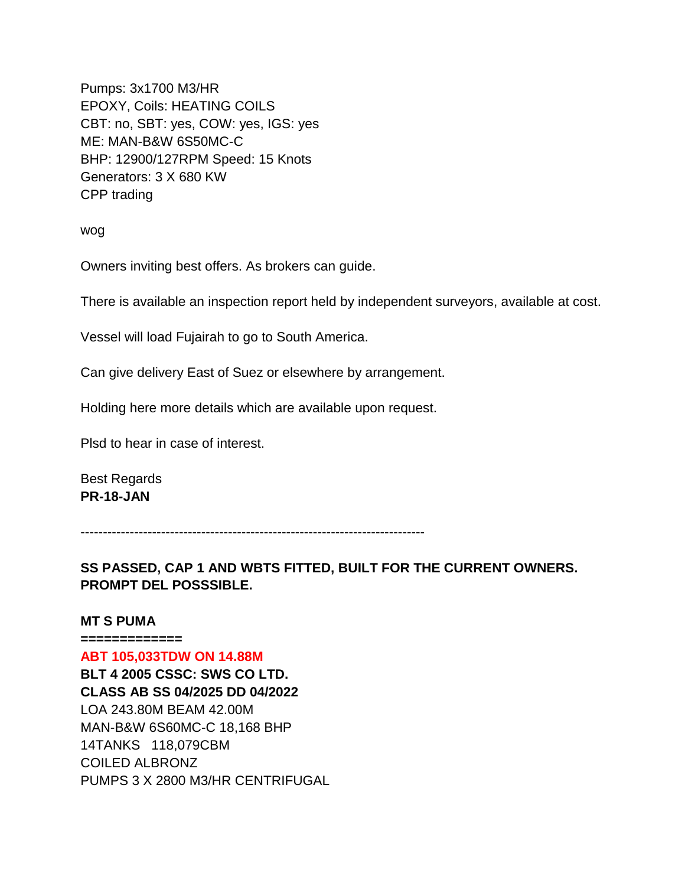Pumps: 3x1700 M3/HR EPOXY, Coils: HEATING COILS CBT: no, SBT: yes, COW: yes, IGS: yes ME: MAN-B&W 6S50MC-C BHP: 12900/127RPM Speed: 15 Knots Generators: 3 X 680 KW CPP trading

wog

Owners inviting best offers. As brokers can guide.

There is available an inspection report held by independent surveyors, available at cost.

Vessel will load Fujairah to go to South America.

Can give delivery East of Suez or elsewhere by arrangement.

Holding here more details which are available upon request.

Plsd to hear in case of interest.

Best Regards **PR-18-JAN**

-----------------------------------------------------------------------------

**SS PASSED, CAP 1 AND WBTS FITTED, BUILT FOR THE CURRENT OWNERS. PROMPT DEL POSSSIBLE.**

#### **MT S PUMA**

**============= ABT 105,033TDW ON 14.88M BLT 4 2005 CSSC: SWS CO LTD. CLASS AB SS 04/2025 DD 04/2022** LOA 243.80M BEAM 42.00M MAN-B&W 6S60MC-C 18,168 BHP 14TANKS 118,079CBM COILED ALBRONZ PUMPS 3 X 2800 M3/HR CENTRIFUGAL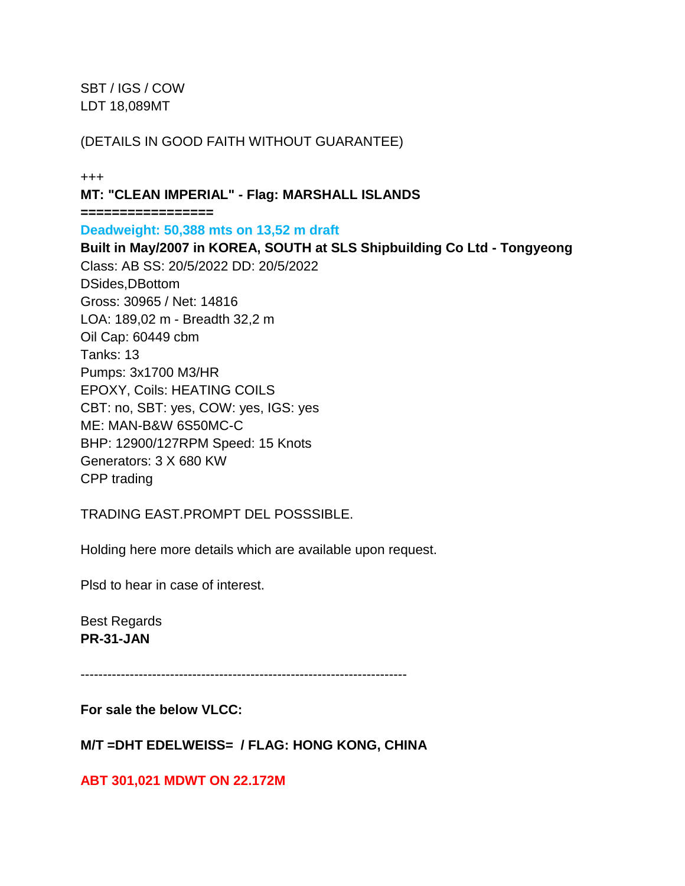SBT / IGS / COW LDT 18,089MT

### (DETAILS IN GOOD FAITH WITHOUT GUARANTEE)

+++

**MT: "CLEAN IMPERIAL" - Flag: MARSHALL ISLANDS ================= Deadweight: 50,388 mts on 13,52 m draft Built in May/2007 in KOREA, SOUTH at SLS Shipbuilding Co Ltd - Tongyeong** Class: AB SS: 20/5/2022 DD: 20/5/2022 DSides,DBottom Gross: 30965 / Net: 14816 LOA: 189,02 m - Breadth 32,2 m

Oil Cap: 60449 cbm Tanks: 13 Pumps: 3x1700 M3/HR EPOXY, Coils: HEATING COILS CBT: no, SBT: yes, COW: yes, IGS: yes ME: MAN-B&W 6S50MC-C BHP: 12900/127RPM Speed: 15 Knots Generators: 3 X 680 KW CPP trading

TRADING EAST.PROMPT DEL POSSSIBLE.

Holding here more details which are available upon request.

Plsd to hear in case of interest.

Best Regards **PR-31-JAN**

-------------------------------------------------------------------------

**For sale the below VLCC:** 

**M/T =DHT EDELWEISS= / FLAG: HONG KONG, CHINA**

**ABT 301,021 MDWT ON 22.172M**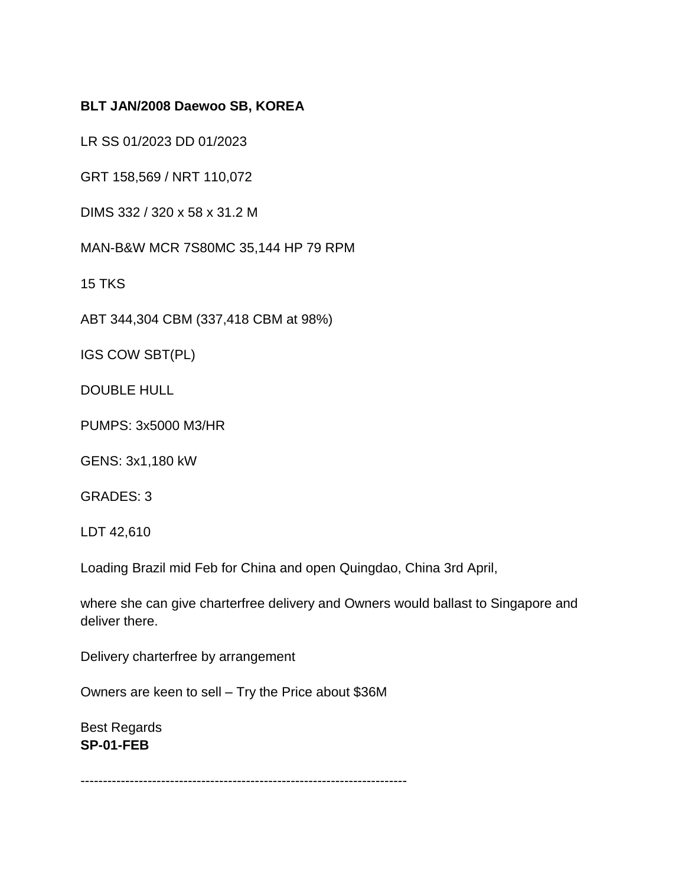# **BLT JAN/2008 Daewoo SB, KOREA**

LR SS 01/2023 DD 01/2023

GRT 158,569 / NRT 110,072

DIMS 332 / 320 x 58 x 31.2 M

MAN-B&W MCR 7S80MC 35,144 HP 79 RPM

15 TKS

ABT 344,304 CBM (337,418 CBM at 98%)

IGS COW SBT(PL)

DOUBLE HULL

PUMPS: 3x5000 M3/HR

GENS: 3x1,180 kW

GRADES: 3

LDT 42,610

Loading Brazil mid Feb for China and open Quingdao, China 3rd April,

where she can give charterfree delivery and Owners would ballast to Singapore and deliver there.

Delivery charterfree by arrangement

Owners are keen to sell – Try the Price about \$36M

Best Regards **SP-01-FEB**

-------------------------------------------------------------------------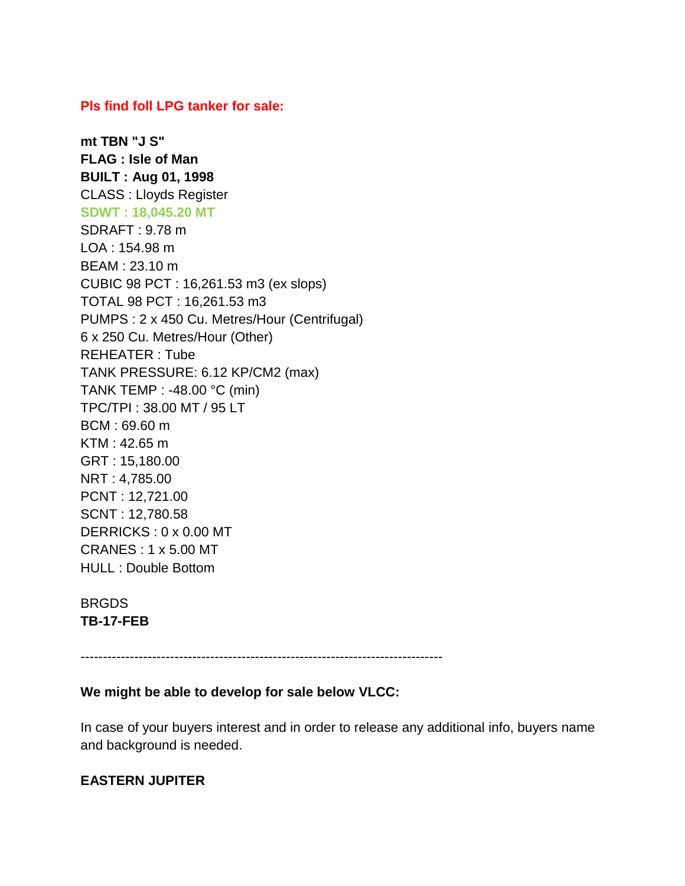#### **Pls find foll LPG tanker for sale:**

**mt TBN "J S" FLAG : Isle of Man BUILT : Aug 01, 1998** CLASS : Lloyds Register **SDWT : 18,045.20 MT** SDRAFT : 9.78 m LOA : 154.98 m BEAM : 23.10 m CUBIC 98 PCT : 16,261.53 m3 (ex slops) TOTAL 98 PCT : 16,261.53 m3 PUMPS : 2 x 450 Cu. Metres/Hour (Centrifugal) 6 x 250 Cu. Metres/Hour (Other) REHEATER : Tube TANK PRESSURE: 6.12 KP/CM2 (max) TANK TEMP : -48.00 °C (min) TPC/TPI : 38.00 MT / 95 LT BCM : 69.60 m KTM : 42.65 m GRT : 15,180.00 NRT : 4,785.00 PCNT : 12,721.00 SCNT : 12,780.58 DERRICKS : 0 x 0.00 MT CRANES : 1 x 5.00 MT HULL : Double Bottom

**BRGDS TB-17-FEB**

---------------------------------------------------------------------------------

#### **We might be able to develop for sale below VLCC:**

In case of your buyers interest and in order to release any additional info, buyers name and background is needed.

#### **EASTERN JUPITER**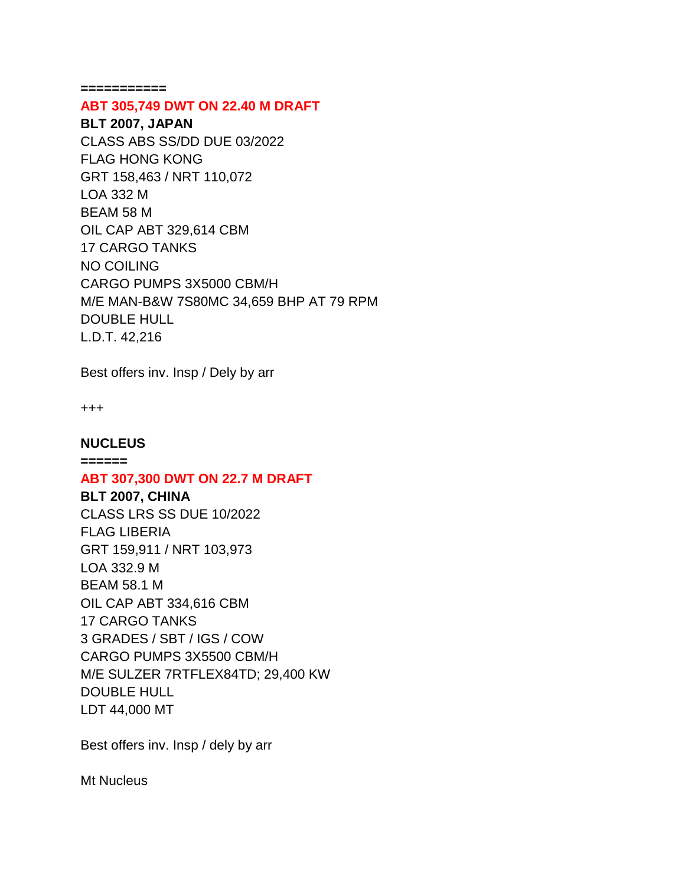**===========**

#### **ABT 305,749 DWT ON 22.40 M DRAFT**

**BLT 2007, JAPAN** CLASS ABS SS/DD DUE 03/2022 FLAG HONG KONG GRT 158,463 / NRT 110,072 LOA 332 M BEAM 58 M OIL CAP ABT 329,614 CBM 17 CARGO TANKS NO COILING CARGO PUMPS 3X5000 CBM/H M/E MAN-B&W 7S80MC 34,659 BHP AT 79 RPM DOUBLE HULL L.D.T. 42,216

Best offers inv. Insp / Dely by arr

+++

#### **NUCLEUS**

**======**

#### **ABT 307,300 DWT ON 22.7 M DRAFT**

**BLT 2007, CHINA** CLASS LRS SS DUE 10/2022 FLAG LIBERIA GRT 159,911 / NRT 103,973 LOA 332.9 M BEAM 58.1 M OIL CAP ABT 334,616 CBM 17 CARGO TANKS

3 GRADES / SBT / IGS / COW CARGO PUMPS 3X5500 CBM/H M/E SULZER 7RTFLEX84TD; 29,400 KW DOUBLE HULL LDT 44,000 MT

Best offers inv. Insp / dely by arr

Mt Nucleus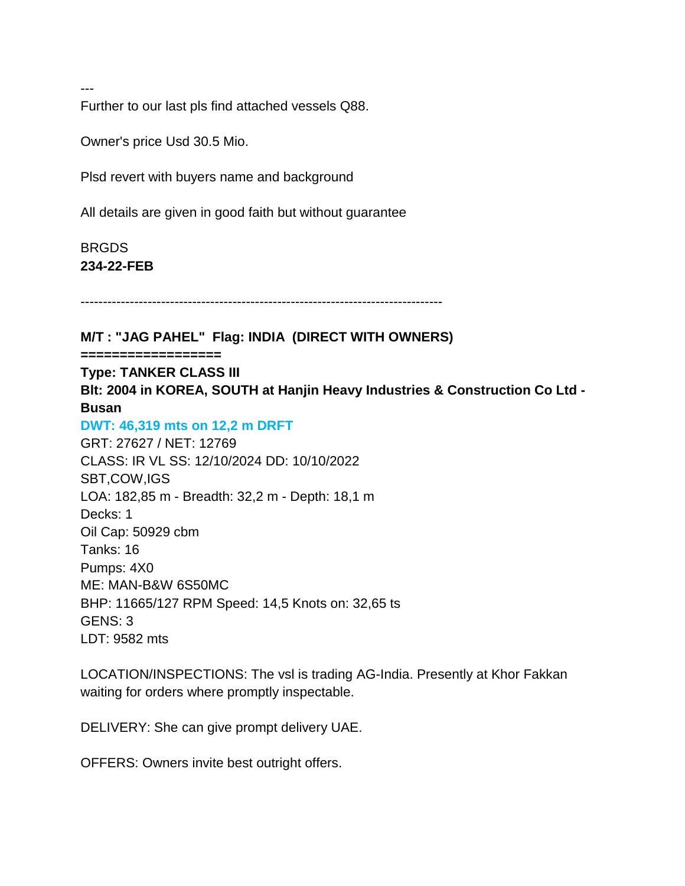---

Further to our last pls find attached vessels Q88.

Owner's price Usd 30.5 Mio.

Plsd revert with buyers name and background

All details are given in good faith but without guarantee

BRGDS **234-22-FEB**

---------------------------------------------------------------------------------

**M/T : "JAG PAHEL" Flag: INDIA (DIRECT WITH OWNERS)**

**==================**

**Type: TANKER CLASS III Blt: 2004 in KOREA, SOUTH at Hanjin Heavy Industries & Construction Co Ltd - Busan**

#### **DWT: 46,319 mts on 12,2 m DRFT**

GRT: 27627 / NET: 12769 CLASS: IR VL SS: 12/10/2024 DD: 10/10/2022 SBT,COW,IGS LOA: 182,85 m - Breadth: 32,2 m - Depth: 18,1 m Decks: 1 Oil Cap: 50929 cbm Tanks: 16 Pumps: 4X0 ME: MAN-B&W 6S50MC BHP: 11665/127 RPM Speed: 14,5 Knots on: 32,65 ts GENS: 3 LDT: 9582 mts

LOCATION/INSPECTIONS: The vsl is trading AG-India. Presently at Khor Fakkan waiting for orders where promptly inspectable.

DELIVERY: She can give prompt delivery UAE.

OFFERS: Owners invite best outright offers.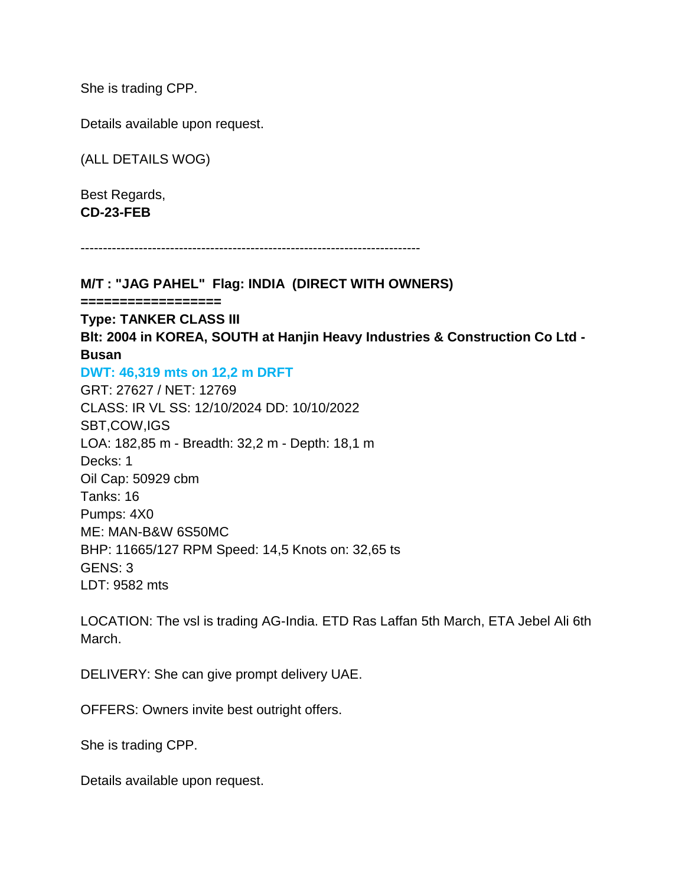She is trading CPP.

Details available upon request.

(ALL DETAILS WOG)

Best Regards, **CD-23-FEB**

----------------------------------------------------------------------------

**M/T : "JAG PAHEL" Flag: INDIA (DIRECT WITH OWNERS)**

**==================**

**Type: TANKER CLASS III**

**Blt: 2004 in KOREA, SOUTH at Hanjin Heavy Industries & Construction Co Ltd - Busan**

**DWT: 46,319 mts on 12,2 m DRFT**

GRT: 27627 / NET: 12769 CLASS: IR VL SS: 12/10/2024 DD: 10/10/2022 SBT,COW,IGS LOA: 182,85 m - Breadth: 32,2 m - Depth: 18,1 m Decks: 1 Oil Cap: 50929 cbm Tanks: 16 Pumps: 4X0 ME: MAN-B&W 6S50MC BHP: 11665/127 RPM Speed: 14,5 Knots on: 32,65 ts GENS: 3 LDT: 9582 mts

LOCATION: The vsl is trading AG-India. ETD Ras Laffan 5th March, ETA Jebel Ali 6th March.

DELIVERY: She can give prompt delivery UAE.

OFFERS: Owners invite best outright offers.

She is trading CPP.

Details available upon request.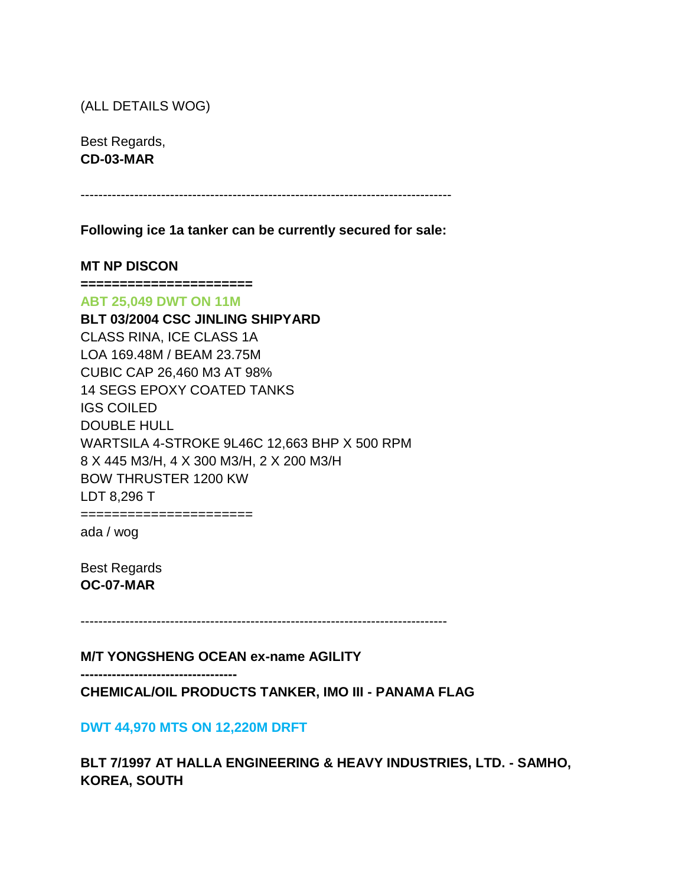(ALL DETAILS WOG)

Best Regards, **CD-03-MAR**

-----------------------------------------------------------------------------------

**Following ice 1a tanker can be currently secured for sale:**

**MT NP DISCON**

**======================**

**ABT 25,049 DWT ON 11M**

**BLT 03/2004 CSC JINLING SHIPYARD** CLASS RINA, ICE CLASS 1A LOA 169.48M / BEAM 23.75M CUBIC CAP 26,460 M3 AT 98% 14 SEGS EPOXY COATED TANKS IGS COILED DOUBLE HULL WARTSILA 4-STROKE 9L46C 12,663 BHP X 500 RPM 8 X 445 M3/H, 4 X 300 M3/H, 2 X 200 M3/H BOW THRUSTER 1200 KW LDT 8,296 T

======================

ada / wog

Best Regards **OC-07-MAR**

----------------------------------------------------------------------------------

**M/T YONGSHENG OCEAN ex-name AGILITY**

**-----------------------------------**

**CHEMICAL/OIL PRODUCTS TANKER, IMO III - PANAMA FLAG**

**DWT 44,970 MTS ON 12,220M DRFT**

**BLT 7/1997 AT HALLA ENGINEERING & HEAVY INDUSTRIES, LTD. - SAMHO, KOREA, SOUTH**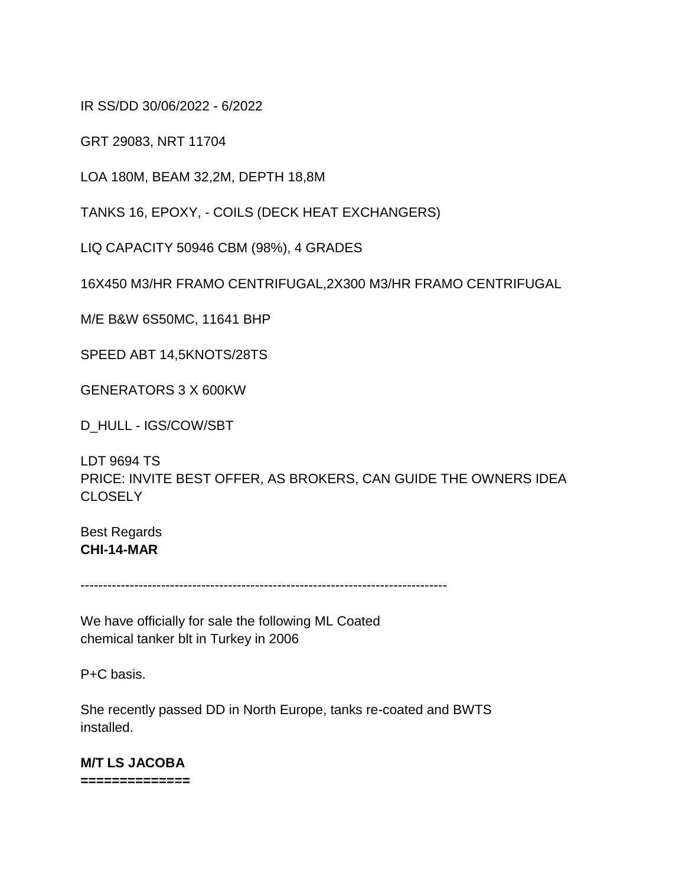IR SS/DD 30/06/2022 - 6/2022

GRT 29083, NRT 11704

LOA 180M, BEAM 32,2M, DEPTH 18,8M

TANKS 16, EPOXY, - COILS (DECK HEAT EXCHANGERS)

LIQ CAPACITY 50946 CBM (98%), 4 GRADES

16X450 M3/HR FRAMO CENTRIFUGAL,2X300 M3/HR FRAMO CENTRIFUGAL

M/E B&W 6S50MC, 11641 BHP

SPEED ABT 14,5KNOTS/28TS

GENERATORS 3 X 600KW

D\_HULL - IGS/COW/SBT

LDT 9694 TS PRICE: INVITE BEST OFFER, AS BROKERS, CAN GUIDE THE OWNERS IDEA **CLOSELY** 

Best Regards **CHI-14-MAR**

----------------------------------------------------------------------------------

We have officially for sale the following ML Coated chemical tanker blt in Turkey in 2006

P+C basis.

She recently passed DD in North Europe, tanks re-coated and BWTS installed.

**M/T LS JACOBA ==============**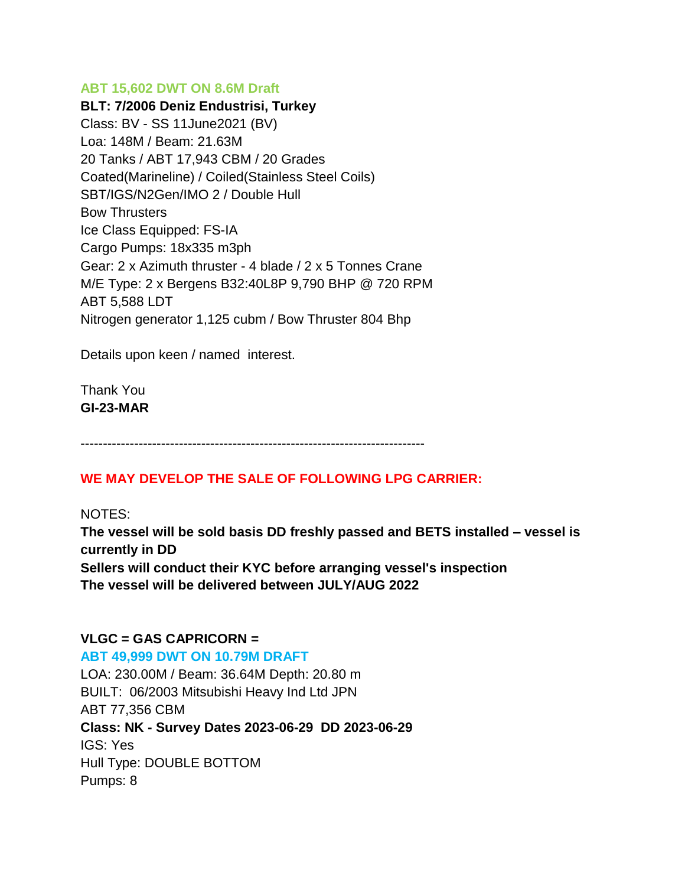### **ABT 15,602 DWT ON 8.6M Draft**

**BLT: 7/2006 Deniz Endustrisi, Turkey** Class: BV - SS 11June2021 (BV) Loa: 148M / Beam: 21.63M 20 Tanks / ABT 17,943 CBM / 20 Grades Coated(Marineline) / Coiled(Stainless Steel Coils) SBT/IGS/N2Gen/IMO 2 / Double Hull Bow Thrusters Ice Class Equipped: FS-IA Cargo Pumps: 18x335 m3ph Gear: 2 x Azimuth thruster - 4 blade / 2 x 5 Tonnes Crane M/E Type: 2 x Bergens B32:40L8P 9,790 BHP @ 720 RPM ABT 5,588 LDT Nitrogen generator 1,125 cubm / Bow Thruster 804 Bhp

Details upon keen / named interest.

Thank You **GI-23-MAR**

-----------------------------------------------------------------------------

# **WE MAY DEVELOP THE SALE OF FOLLOWING LPG CARRIER:**

#### NOTES:

**The vessel will be sold basis DD freshly passed and BETS installed – vessel is currently in DD Sellers will conduct their KYC before arranging vessel's inspection The vessel will be delivered between JULY/AUG 2022**

### **VLGC = GAS CAPRICORN =**

**ABT 49,999 DWT ON 10.79M DRAFT** LOA: 230.00M / Beam: 36.64M Depth: 20.80 m BUILT: 06/2003 Mitsubishi Heavy Ind Ltd JPN ABT 77,356 CBM **Class: NK - Survey Dates 2023-06-29 DD 2023-06-29** IGS: Yes Hull Type: DOUBLE BOTTOM Pumps: 8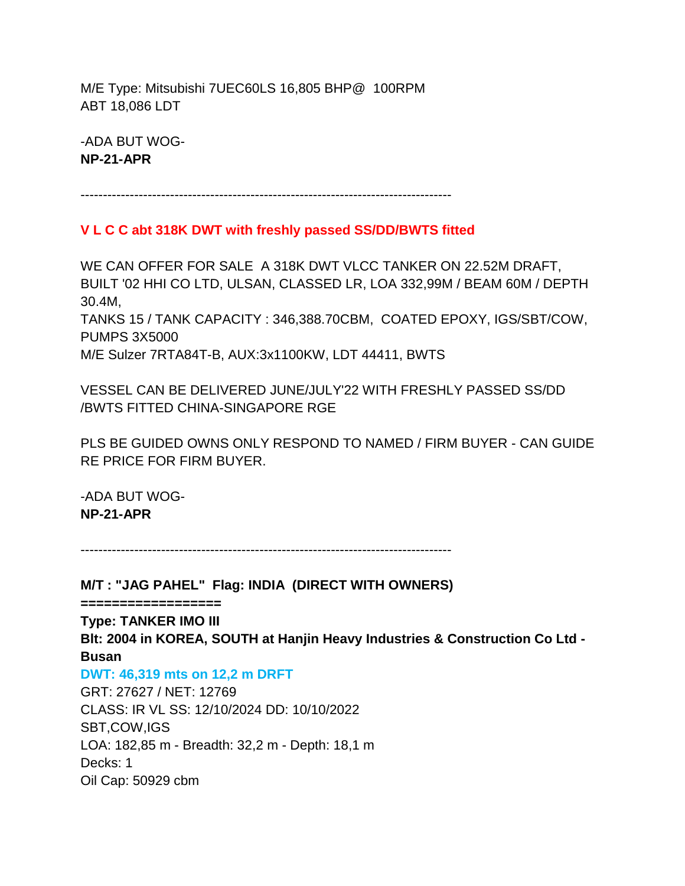M/E Type: Mitsubishi 7UEC60LS 16,805 BHP@ 100RPM ABT 18,086 LDT

-ADA BUT WOG-**NP-21-APR**

-----------------------------------------------------------------------------------

# **V L C C abt 318K DWT with freshly passed SS/DD/BWTS fitted**

WE CAN OFFER FOR SALE A 318K DWT VLCC TANKER ON 22.52M DRAFT, BUILT '02 HHI CO LTD, ULSAN, CLASSED LR, LOA 332,99M / BEAM 60M / DEPTH 30.4M, TANKS 15 / TANK CAPACITY : 346,388.70CBM, COATED EPOXY, IGS/SBT/COW, PUMPS 3X5000 M/E Sulzer 7RTA84T-B, AUX:3x1100KW, LDT 44411, BWTS

VESSEL CAN BE DELIVERED JUNE/JULY'22 WITH FRESHLY PASSED SS/DD /BWTS FITTED CHINA-SINGAPORE RGE

PLS BE GUIDED OWNS ONLY RESPOND TO NAMED / FIRM BUYER - CAN GUIDE RE PRICE FOR FIRM BUYER.

-ADA BUT WOG-**NP-21-APR**

-----------------------------------------------------------------------------------

**M/T : "JAG PAHEL" Flag: INDIA (DIRECT WITH OWNERS)**

**==================**

**Type: TANKER IMO III Blt: 2004 in KOREA, SOUTH at Hanjin Heavy Industries & Construction Co Ltd - Busan**

**DWT: 46,319 mts on 12,2 m DRFT**

GRT: 27627 / NET: 12769 CLASS: IR VL SS: 12/10/2024 DD: 10/10/2022 SBT,COW,IGS LOA: 182,85 m - Breadth: 32,2 m - Depth: 18,1 m Decks: 1 Oil Cap: 50929 cbm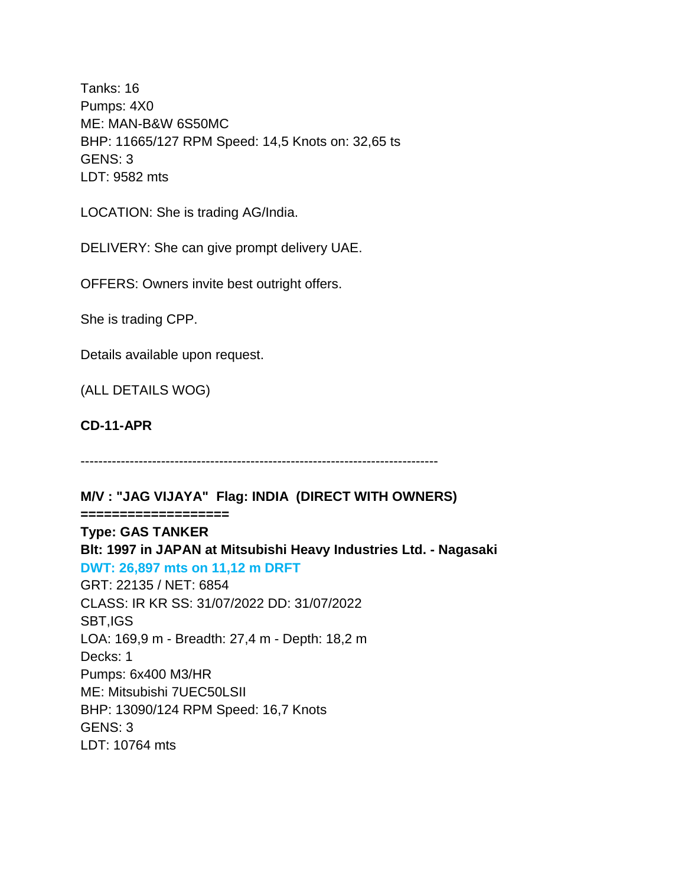Tanks: 16 Pumps: 4X0 ME: MAN-B&W 6S50MC BHP: 11665/127 RPM Speed: 14,5 Knots on: 32,65 ts GENS: 3 LDT: 9582 mts

LOCATION: She is trading AG/India.

DELIVERY: She can give prompt delivery UAE.

OFFERS: Owners invite best outright offers.

She is trading CPP.

Details available upon request.

(ALL DETAILS WOG)

**CD-11-APR**

--------------------------------------------------------------------------------

**M/V : "JAG VIJAYA" Flag: INDIA (DIRECT WITH OWNERS)**

**=================== Type: GAS TANKER**

**Blt: 1997 in JAPAN at Mitsubishi Heavy Industries Ltd. - Nagasaki DWT: 26,897 mts on 11,12 m DRFT** GRT: 22135 / NET: 6854 CLASS: IR KR SS: 31/07/2022 DD: 31/07/2022 SBT,IGS LOA: 169,9 m - Breadth: 27,4 m - Depth: 18,2 m Decks: 1 Pumps: 6x400 M3/HR ME: Mitsubishi 7UEC50LSII BHP: 13090/124 RPM Speed: 16,7 Knots GENS: 3 LDT: 10764 mts